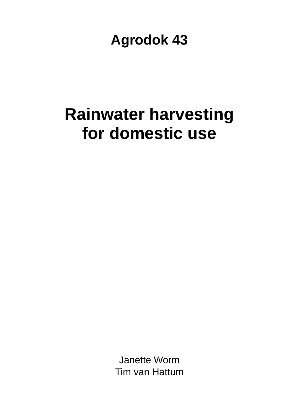# **Agrodok 43**

# **Rainwater harvesting for domestic use**

Janette Worm Tim van Hattum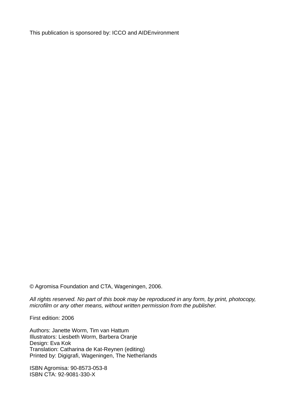This publication is sponsored by: ICCO and AIDEnvironment

© Agromisa Foundation and CTA, Wageningen, 2006.

*All rights reserved. No part of this book may be reproduced in any form, by print, photocopy, microfilm or any other means, without written permission from the publisher.* 

First edition: 2006

Authors: Janette Worm, Tim van Hattum Illustrators: Liesbeth Worm, Barbera Oranje Design: Eva Kok Translation: Catharina de Kat-Reynen (editing) Printed by: Digigrafi, Wageningen, The Netherlands

ISBN Agromisa: 90-8573-053-8 ISBN CTA: 92-9081-330-X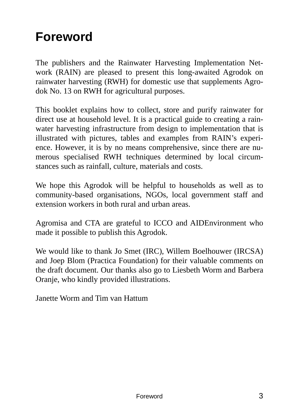# **Foreword**

The publishers and the Rainwater Harvesting Implementation Network (RAIN) are pleased to present this long-awaited Agrodok on rainwater harvesting (RWH) for domestic use that supplements Agrodok No. 13 on RWH for agricultural purposes.

This booklet explains how to collect, store and purify rainwater for direct use at household level. It is a practical guide to creating a rainwater harvesting infrastructure from design to implementation that is illustrated with pictures, tables and examples from RAIN's experience. However, it is by no means comprehensive, since there are numerous specialised RWH techniques determined by local circumstances such as rainfall, culture, materials and costs.

We hope this Agrodok will be helpful to households as well as to community-based organisations, NGOs, local government staff and extension workers in both rural and urban areas.

Agromisa and CTA are grateful to ICCO and AIDEnvironment who made it possible to publish this Agrodok.

We would like to thank Jo Smet (IRC), Willem Boelhouwer (IRCSA) and Joep Blom (Practica Foundation) for their valuable comments on the draft document. Our thanks also go to Liesbeth Worm and Barbera Oranje, who kindly provided illustrations.

Janette Worm and Tim van Hattum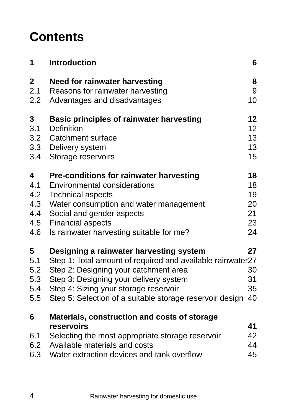# **Contents**

| 1                       | <b>Introduction</b>                                        | 6  |
|-------------------------|------------------------------------------------------------|----|
| $\overline{\mathbf{2}}$ | Need for rainwater harvesting                              | 8  |
| 2.1                     | Reasons for rainwater harvesting                           | 9  |
| 2.2                     | Advantages and disadvantages                               | 10 |
| 3                       | <b>Basic principles of rainwater harvesting</b>            | 12 |
| 3.1                     | Definition                                                 | 12 |
| 3.2                     | Catchment surface                                          | 13 |
| 3.3                     | Delivery system                                            | 13 |
| 3.4                     | Storage reservoirs                                         | 15 |
| 4                       | <b>Pre-conditions for rainwater harvesting</b>             | 18 |
| 4.1                     | <b>Environmental considerations</b>                        | 18 |
| 4.2                     | <b>Technical aspects</b>                                   | 19 |
| 4.3                     | Water consumption and water management                     | 20 |
| 4.4                     | Social and gender aspects                                  | 21 |
| 4.5                     | <b>Financial aspects</b>                                   | 23 |
| 4.6                     | Is rainwater harvesting suitable for me?                   | 24 |
| 5                       | Designing a rainwater harvesting system                    | 27 |
| 5.1                     | Step 1: Total amount of required and available rainwater27 |    |
| 5.2                     | Step 2: Designing your catchment area                      | 30 |
| 5.3                     | Step 3: Designing your delivery system                     | 31 |
| 5.4                     | Step 4: Sizing your storage reservoir                      | 35 |
| 5.5                     | Step 5: Selection of a suitable storage reservoir design   | 40 |
| 6                       | Materials, construction and costs of storage               |    |
|                         | reservoirs                                                 | 41 |
| 6.1                     | Selecting the most appropriate storage reservoir           | 42 |
| 6.2                     | Available materials and costs                              | 44 |
| 6.3                     | Water extraction devices and tank overflow                 | 45 |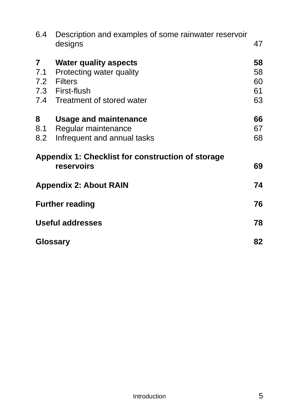| 6.4                          | Description and examples of some rainwater reservoir<br>designs                                                                | 47                         |
|------------------------------|--------------------------------------------------------------------------------------------------------------------------------|----------------------------|
| $\overline{7}$<br>7.1<br>7.2 | <b>Water quality aspects</b><br>Protecting water quality<br><b>Filters</b><br>7.3 First-flush<br>7.4 Treatment of stored water | 58<br>58<br>60<br>61<br>63 |
| 8<br>8.1<br>8.2              | <b>Usage and maintenance</b><br>Regular maintenance<br>Infrequent and annual tasks                                             | 66<br>67<br>68             |
|                              | Appendix 1: Checklist for construction of storage<br>reservoirs                                                                | 69                         |
|                              | <b>Appendix 2: About RAIN</b>                                                                                                  | 74                         |
|                              | <b>Further reading</b>                                                                                                         | 76                         |
|                              | <b>Useful addresses</b>                                                                                                        | 78                         |
|                              | <b>Glossary</b>                                                                                                                | 82                         |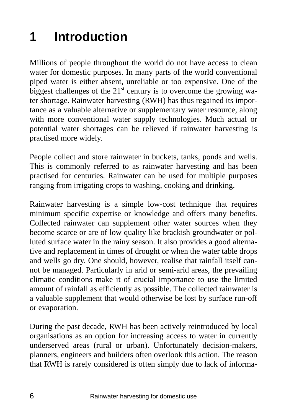# **1 Introduction**

Millions of people throughout the world do not have access to clean water for domestic purposes. In many parts of the world conventional piped water is either absent, unreliable or too expensive. One of the biggest challenges of the  $21<sup>st</sup>$  century is to overcome the growing water shortage. Rainwater harvesting (RWH) has thus regained its importance as a valuable alternative or supplementary water resource, along with more conventional water supply technologies. Much actual or potential water shortages can be relieved if rainwater harvesting is practised more widely.

People collect and store rainwater in buckets, tanks, ponds and wells. This is commonly referred to as rainwater harvesting and has been practised for centuries. Rainwater can be used for multiple purposes ranging from irrigating crops to washing, cooking and drinking.

Rainwater harvesting is a simple low-cost technique that requires minimum specific expertise or knowledge and offers many benefits. Collected rainwater can supplement other water sources when they become scarce or are of low quality like brackish groundwater or polluted surface water in the rainy season. It also provides a good alternative and replacement in times of drought or when the water table drops and wells go dry. One should, however, realise that rainfall itself cannot be managed. Particularly in arid or semi-arid areas, the prevailing climatic conditions make it of crucial importance to use the limited amount of rainfall as efficiently as possible. The collected rainwater is a valuable supplement that would otherwise be lost by surface run-off or evaporation.

During the past decade, RWH has been actively reintroduced by local organisations as an option for increasing access to water in currently underserved areas (rural or urban). Unfortunately decision-makers, planners, engineers and builders often overlook this action. The reason that RWH is rarely considered is often simply due to lack of informa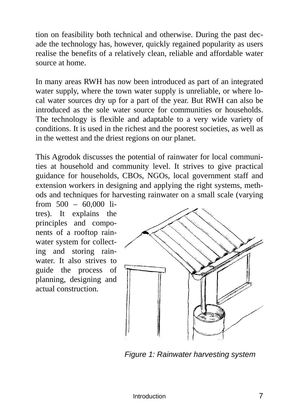tion on feasibility both technical and otherwise. During the past decade the technology has, however, quickly regained popularity as users realise the benefits of a relatively clean, reliable and affordable water source at home.

In many areas RWH has now been introduced as part of an integrated water supply, where the town water supply is unreliable, or where local water sources dry up for a part of the year. But RWH can also be introduced as the sole water source for communities or households. The technology is flexible and adaptable to a very wide variety of conditions. It is used in the richest and the poorest societies, as well as in the wettest and the driest regions on our planet.

This Agrodok discusses the potential of rainwater for local communities at household and community level. It strives to give practical guidance for households, CBOs, NGOs, local government staff and extension workers in designing and applying the right systems, methods and techniques for harvesting rainwater on a small scale (varying

from 500 – 60,000 litres). It explains the principles and components of a rooftop rainwater system for collecting and storing rainwater. It also strives to guide the process of planning, designing and actual construction.



*Figure 1: Rainwater harvesting system*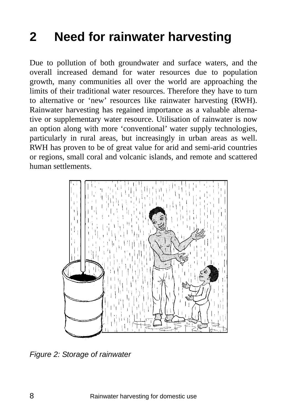# **2 Need for rainwater harvesting**

Due to pollution of both groundwater and surface waters, and the overall increased demand for water resources due to population growth, many communities all over the world are approaching the limits of their traditional water resources. Therefore they have to turn to alternative or 'new' resources like rainwater harvesting (RWH). Rainwater harvesting has regained importance as a valuable alternative or supplementary water resource. Utilisation of rainwater is now an option along with more 'conventional' water supply technologies, particularly in rural areas, but increasingly in urban areas as well. RWH has proven to be of great value for arid and semi-arid countries or regions, small coral and volcanic islands, and remote and scattered human settlements.



*Figure 2: Storage of rainwater*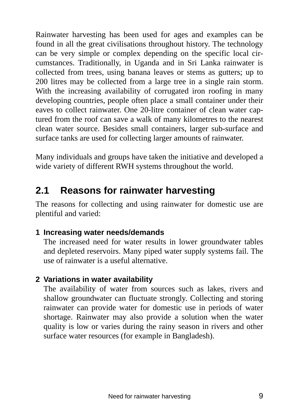Rainwater harvesting has been used for ages and examples can be found in all the great civilisations throughout history. The technology can be very simple or complex depending on the specific local circumstances. Traditionally, in Uganda and in Sri Lanka rainwater is collected from trees, using banana leaves or stems as gutters; up to 200 litres may be collected from a large tree in a single rain storm. With the increasing availability of corrugated iron roofing in many developing countries, people often place a small container under their eaves to collect rainwater. One 20-litre container of clean water captured from the roof can save a walk of many kilometres to the nearest clean water source. Besides small containers, larger sub-surface and surface tanks are used for collecting larger amounts of rainwater.

Many individuals and groups have taken the initiative and developed a wide variety of different RWH systems throughout the world.

## **2.1 Reasons for rainwater harvesting**

The reasons for collecting and using rainwater for domestic use are plentiful and varied:

### **1 Increasing water needs/demands**

The increased need for water results in lower groundwater tables and depleted reservoirs. Many piped water supply systems fail. The use of rainwater is a useful alternative.

### **2 Variations in water availability**

The availability of water from sources such as lakes, rivers and shallow groundwater can fluctuate strongly. Collecting and storing rainwater can provide water for domestic use in periods of water shortage. Rainwater may also provide a solution when the water quality is low or varies during the rainy season in rivers and other surface water resources (for example in Bangladesh).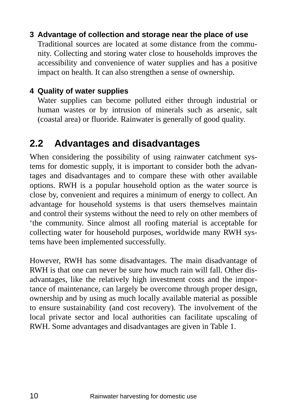### **3 Advantage of collection and storage near the place of use**

Traditional sources are located at some distance from the community. Collecting and storing water close to households improves the accessibility and convenience of water supplies and has a positive impact on health. It can also strengthen a sense of ownership.

### **4 Quality of water supplies**

Water supplies can become polluted either through industrial or human wastes or by intrusion of minerals such as arsenic, salt (coastal area) or fluoride. Rainwater is generally of good quality.

### **2.2 Advantages and disadvantages**

When considering the possibility of using rainwater catchment systems for domestic supply, it is important to consider both the advantages and disadvantages and to compare these with other available options. RWH is a popular household option as the water source is close by, convenient and requires a minimum of energy to collect. An advantage for household systems is that users themselves maintain and control their systems without the need to rely on other members of 'the community. Since almost all roofing material is acceptable for collecting water for household purposes, worldwide many RWH systems have been implemented successfully.

However, RWH has some disadvantages. The main disadvantage of RWH is that one can never be sure how much rain will fall. Other disadvantages, like the relatively high investment costs and the importance of maintenance, can largely be overcome through proper design, ownership and by using as much locally available material as possible to ensure sustainability (and cost recovery). The involvement of the local private sector and local authorities can facilitate upscaling of RWH. Some advantages and disadvantages are given in Table 1.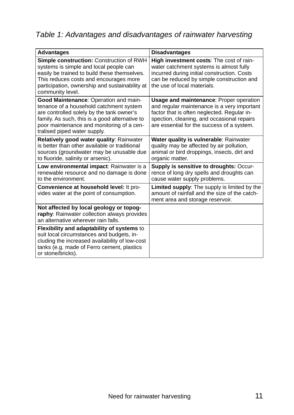### *Table 1: Advantages and disadvantages of rainwater harvesting*

| <b>Advantages</b>                                                                                                                                                                                                                                            | <b>Disadvantages</b>                                                                                                                                                                                                                     |
|--------------------------------------------------------------------------------------------------------------------------------------------------------------------------------------------------------------------------------------------------------------|------------------------------------------------------------------------------------------------------------------------------------------------------------------------------------------------------------------------------------------|
| Simple construction: Construction of RWH<br>systems is simple and local people can<br>easily be trained to build these themselves.<br>This reduces costs and encourages more<br>participation, ownership and sustainability at<br>community level.           | High investment costs: The cost of rain-<br>water catchment systems is almost fully<br>incurred during initial construction. Costs<br>can be reduced by simple construction and<br>the use of local materials.                           |
| Good Maintenance: Operation and main-<br>tenance of a household catchment system<br>are controlled solely by the tank owner's<br>family. As such, this is a good alternative to<br>poor maintenance and monitoring of a cen-<br>tralised piped water supply. | <b>Usage and maintenance: Proper operation</b><br>and regular maintenance is a very important<br>factor that is often neglected. Regular in-<br>spection, cleaning, and occasional repairs<br>are essential for the success of a system. |
| Relatively good water quality: Rainwater<br>is better than other available or traditional<br>sources (groundwater may be unusable due<br>to fluoride, salinity or arsenic).                                                                                  | Water quality is vulnerable: Rainwater<br>quality may be affected by air pollution,<br>animal or bird droppings, insects, dirt and<br>organic matter.                                                                                    |
| Low environmental impact: Rainwater is a<br>renewable resource and no damage is done<br>to the environment.                                                                                                                                                  | <b>Supply is sensitive to droughts: Occur-</b><br>rence of long dry spells and droughts can<br>cause water supply problems.                                                                                                              |
| Convenience at household level: It pro-<br>vides water at the point of consumption.                                                                                                                                                                          | <b>Limited supply:</b> The supply is limited by the<br>amount of rainfall and the size of the catch-<br>ment area and storage reservoir.                                                                                                 |
| Not affected by local geology or topog-<br>raphy: Rainwater collection always provides<br>an alternative wherever rain falls.                                                                                                                                |                                                                                                                                                                                                                                          |
| Flexibility and adaptability of systems to<br>suit local circumstances and budgets, in-<br>cluding the increased availability of low-cost<br>tanks (e.g. made of Ferro cement, plastics<br>or stone/bricks).                                                 |                                                                                                                                                                                                                                          |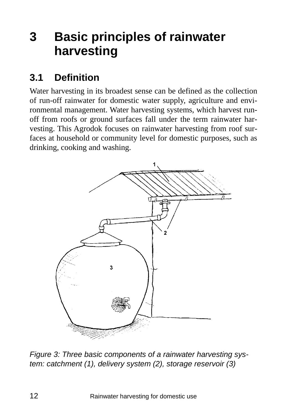# **3 Basic principles of rainwater harvesting**

## **3.1 Definition**

Water harvesting in its broadest sense can be defined as the collection of run-off rainwater for domestic water supply, agriculture and environmental management. Water harvesting systems, which harvest runoff from roofs or ground surfaces fall under the term rainwater harvesting. This Agrodok focuses on rainwater harvesting from roof surfaces at household or community level for domestic purposes, such as drinking, cooking and washing.



*Figure 3: Three basic components of a rainwater harvesting system: catchment (1), delivery system (2), storage reservoir (3)*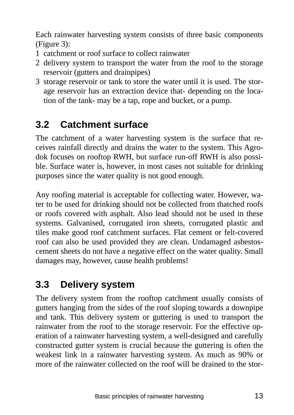Each rainwater harvesting system consists of three basic components (Figure 3):

- 1 catchment or roof surface to collect rainwater
- 2 delivery system to transport the water from the roof to the storage reservoir (gutters and drainpipes)
- 3 storage reservoir or tank to store the water until it is used. The storage reservoir has an extraction device that- depending on the location of the tank- may be a tap, rope and bucket, or a pump.

# **3.2 Catchment surface**

The catchment of a water harvesting system is the surface that receives rainfall directly and drains the water to the system. This Agrodok focuses on rooftop RWH, but surface run-off RWH is also possible. Surface water is, however, in most cases not suitable for drinking purposes since the water quality is not good enough.

Any roofing material is acceptable for collecting water. However, water to be used for drinking should not be collected from thatched roofs or roofs covered with asphalt. Also lead should not be used in these systems. Galvanised, corrugated iron sheets, corrugated plastic and tiles make good roof catchment surfaces. Flat cement or felt-covered roof can also be used provided they are clean. Undamaged asbestoscement sheets do not have a negative effect on the water quality. Small damages may, however, cause health problems!

## **3.3 Delivery system**

The delivery system from the rooftop catchment usually consists of gutters hanging from the sides of the roof sloping towards a downpipe and tank. This delivery system or guttering is used to transport the rainwater from the roof to the storage reservoir. For the effective operation of a rainwater harvesting system, a well-designed and carefully constructed gutter system is crucial because the guttering is often the weakest link in a rainwater harvesting system. As much as 90% or more of the rainwater collected on the roof will be drained to the stor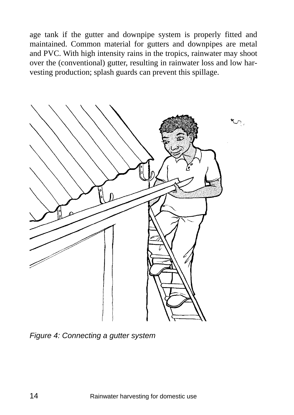age tank if the gutter and downpipe system is properly fitted and maintained. Common material for gutters and downpipes are metal and PVC. With high intensity rains in the tropics, rainwater may shoot over the (conventional) gutter, resulting in rainwater loss and low harvesting production; splash guards can prevent this spillage.



*Figure 4: Connecting a gutter system*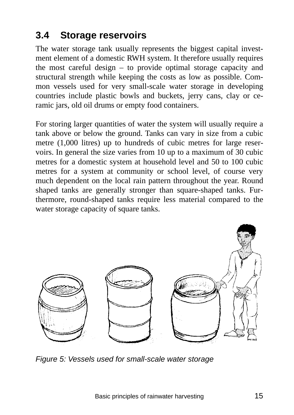# **3.4 Storage reservoirs**

The water storage tank usually represents the biggest capital investment element of a domestic RWH system. It therefore usually requires the most careful design – to provide optimal storage capacity and structural strength while keeping the costs as low as possible. Common vessels used for very small-scale water storage in developing countries include plastic bowls and buckets, jerry cans, clay or ceramic jars, old oil drums or empty food containers.

For storing larger quantities of water the system will usually require a tank above or below the ground. Tanks can vary in size from a cubic metre (1,000 litres) up to hundreds of cubic metres for large reservoirs. In general the size varies from 10 up to a maximum of 30 cubic metres for a domestic system at household level and 50 to 100 cubic metres for a system at community or school level, of course very much dependent on the local rain pattern throughout the year. Round shaped tanks are generally stronger than square-shaped tanks. Furthermore, round-shaped tanks require less material compared to the water storage capacity of square tanks.



*Figure 5: Vessels used for small-scale water storage*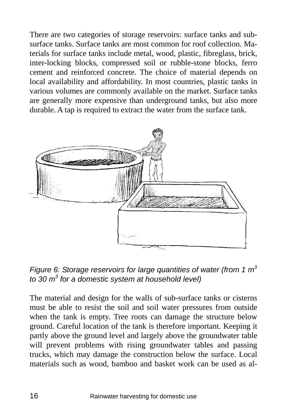There are two categories of storage reservoirs: surface tanks and subsurface tanks. Surface tanks are most common for roof collection. Materials for surface tanks include metal, wood, plastic, fibreglass, brick, inter-locking blocks, compressed soil or rubble-stone blocks, ferro cement and reinforced concrete. The choice of material depends on local availability and affordability. In most countries, plastic tanks in various volumes are commonly available on the market. Surface tanks are generally more expensive than underground tanks, but also more durable. A tap is required to extract the water from the surface tank.



*Figure 6: Storage reservoirs for large quantities of water (from 1 m3 to 30 m3 for a domestic system at household level)* 

The material and design for the walls of sub-surface tanks or cisterns must be able to resist the soil and soil water pressures from outside when the tank is empty. Tree roots can damage the structure below ground. Careful location of the tank is therefore important. Keeping it partly above the ground level and largely above the groundwater table will prevent problems with rising groundwater tables and passing trucks, which may damage the construction below the surface. Local materials such as wood, bamboo and basket work can be used as al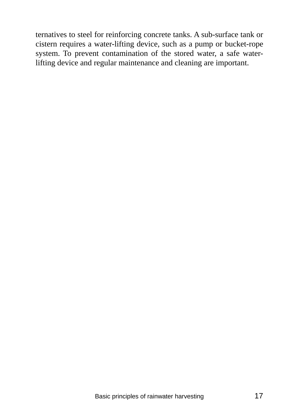ternatives to steel for reinforcing concrete tanks. A sub-surface tank or cistern requires a water-lifting device, such as a pump or bucket-rope system. To prevent contamination of the stored water, a safe waterlifting device and regular maintenance and cleaning are important.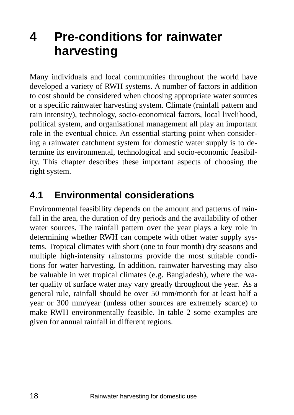# **4 Pre-conditions for rainwater harvesting**

Many individuals and local communities throughout the world have developed a variety of RWH systems. A number of factors in addition to cost should be considered when choosing appropriate water sources or a specific rainwater harvesting system. Climate (rainfall pattern and rain intensity), technology, socio-economical factors, local livelihood, political system, and organisational management all play an important role in the eventual choice. An essential starting point when considering a rainwater catchment system for domestic water supply is to determine its environmental, technological and socio-economic feasibility. This chapter describes these important aspects of choosing the right system.

## **4.1 Environmental considerations**

Environmental feasibility depends on the amount and patterns of rainfall in the area, the duration of dry periods and the availability of other water sources. The rainfall pattern over the year plays a key role in determining whether RWH can compete with other water supply systems. Tropical climates with short (one to four month) dry seasons and multiple high-intensity rainstorms provide the most suitable conditions for water harvesting. In addition, rainwater harvesting may also be valuable in wet tropical climates (e.g. Bangladesh), where the water quality of surface water may vary greatly throughout the year. As a general rule, rainfall should be over 50 mm/month for at least half a year or 300 mm/year (unless other sources are extremely scarce) to make RWH environmentally feasible. In table 2 some examples are given for annual rainfall in different regions.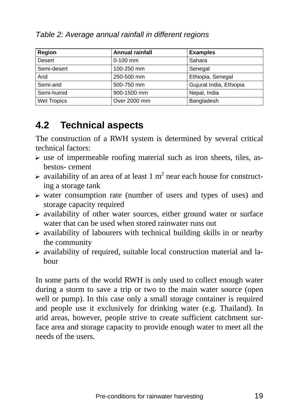| Region             | <b>Annual rainfall</b> | <b>Examples</b>         |
|--------------------|------------------------|-------------------------|
| Desert             | $0-100$ mm             | Sahara                  |
| Semi-desert        | 100-250 mm             | Senegal                 |
| Arid               | 250-500 mm             | Ethiopia, Senegal       |
| Semi-arid          | 500-750 mm             | Gujurat India, Ethiopia |
| Semi-humid         | 900-1500 mm            | Nepal, India            |
| <b>Wet Tropics</b> | Over 2000 mm           | Bangladesh              |

### *Table 2: Average annual rainfall in different regions*

## **4.2 Technical aspects**

The construction of a RWH system is determined by several critical technical factors:

- $\triangleright$  use of impermeable roofing material such as iron sheets, tiles, asbestos- cement
- $\triangleright$  availability of an area of at least 1 m<sup>2</sup> near each house for constructing a storage tank
- $\triangleright$  water consumption rate (number of users and types of uses) and storage capacity required
- $\triangleright$  availability of other water sources, either ground water or surface water that can be used when stored rainwater runs out
- $\triangleright$  availability of labourers with technical building skills in or nearby the community
- $\triangleright$  availability of required, suitable local construction material and labour

In some parts of the world RWH is only used to collect enough water during a storm to save a trip or two to the main water source (open well or pump). In this case only a small storage container is required and people use it exclusively for drinking water (e.g. Thailand). In arid areas, however, people strive to create sufficient catchment surface area and storage capacity to provide enough water to meet all the needs of the users.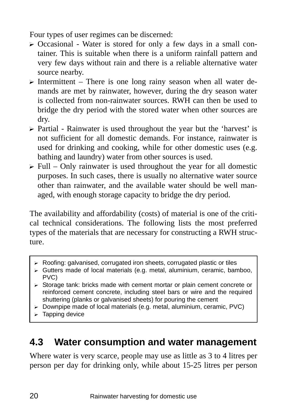Four types of user regimes can be discerned:

- $\triangleright$  Occasional Water is stored for only a few days in a small container. This is suitable when there is a uniform rainfall pattern and very few days without rain and there is a reliable alternative water source nearby.
- $\triangleright$  Intermittent There is one long rainy season when all water demands are met by rainwater, however, during the dry season water is collected from non-rainwater sources. RWH can then be used to bridge the dry period with the stored water when other sources are dry.
- $\triangleright$  Partial Rainwater is used throughout the year but the 'harvest' is not sufficient for all domestic demands. For instance, rainwater is used for drinking and cooking, while for other domestic uses (e.g. bathing and laundry) water from other sources is used.
- $\triangleright$  Full Only rainwater is used throughout the year for all domestic purposes. In such cases, there is usually no alternative water source other than rainwater, and the available water should be well managed, with enough storage capacity to bridge the dry period.

The availability and affordability (costs) of material is one of the critical technical considerations. The following lists the most preferred types of the materials that are necessary for constructing a RWH structure.

- $\triangleright$  Roofing: galvanised, corrugated iron sheets, corrugated plastic or tiles
- $\triangleright$  Gutters made of local materials (e.g. metal, aluminium, ceramic, bamboo, PVC)
- $\triangleright$  Storage tank: bricks made with cement mortar or plain cement concrete or reinforced cement concrete, including steel bars or wire and the required shuttering (planks or galvanised sheets) for pouring the cement
- $\triangleright$  Downpipe made of local materials (e.g. metal, aluminium, ceramic, PVC)
- $\blacktriangleright$  Tapping device

## **4.3 Water consumption and water management**

Where water is very scarce, people may use as little as 3 to 4 litres per person per day for drinking only, while about 15-25 litres per person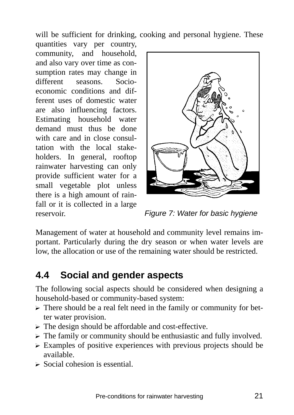will be sufficient for drinking, cooking and personal hygiene. These

quantities vary per country, community, and household, and also vary over time as consumption rates may change in different seasons Socioeconomic conditions and different uses of domestic water are also influencing factors. Estimating household water demand must thus be done with care and in close consultation with the local stakeholders. In general, rooftop rainwater harvesting can only provide sufficient water for a small vegetable plot unless there is a high amount of rainfall or it is collected in a large reservoir.



*Figure 7: Water for basic hygiene* 

Management of water at household and community level remains important. Particularly during the dry season or when water levels are low, the allocation or use of the remaining water should be restricted.

## **4.4 Social and gender aspects**

The following social aspects should be considered when designing a household-based or community-based system:

- $\triangleright$  There should be a real felt need in the family or community for better water provision.
- $\triangleright$  The design should be affordable and cost-effective.
- $\triangleright$  The family or community should be enthusiastic and fully involved.
- $\triangleright$  Examples of positive experiences with previous projects should be available.
- $\triangleright$  Social cohesion is essential.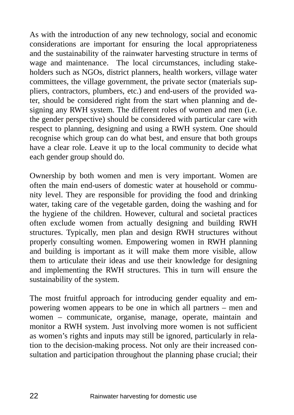As with the introduction of any new technology, social and economic considerations are important for ensuring the local appropriateness and the sustainability of the rainwater harvesting structure in terms of wage and maintenance. The local circumstances, including stakeholders such as NGOs, district planners, health workers, village water committees, the village government, the private sector (materials suppliers, contractors, plumbers, etc.) and end-users of the provided water, should be considered right from the start when planning and designing any RWH system. The different roles of women and men (i.e. the gender perspective) should be considered with particular care with respect to planning, designing and using a RWH system. One should recognise which group can do what best, and ensure that both groups have a clear role. Leave it up to the local community to decide what each gender group should do.

Ownership by both women and men is very important. Women are often the main end-users of domestic water at household or community level. They are responsible for providing the food and drinking water, taking care of the vegetable garden, doing the washing and for the hygiene of the children. However, cultural and societal practices often exclude women from actually designing and building RWH structures. Typically, men plan and design RWH structures without properly consulting women. Empowering women in RWH planning and building is important as it will make them more visible, allow them to articulate their ideas and use their knowledge for designing and implementing the RWH structures. This in turn will ensure the sustainability of the system.

The most fruitful approach for introducing gender equality and empowering women appears to be one in which all partners – men and women – communicate, organise, manage, operate, maintain and monitor a RWH system. Just involving more women is not sufficient as women's rights and inputs may still be ignored, particularly in relation to the decision-making process. Not only are their increased consultation and participation throughout the planning phase crucial; their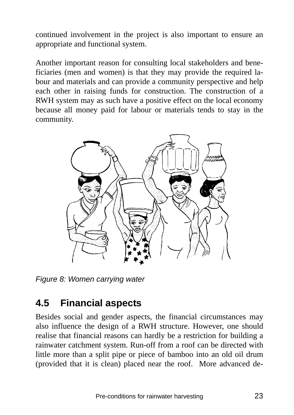continued involvement in the project is also important to ensure an appropriate and functional system.

Another important reason for consulting local stakeholders and beneficiaries (men and women) is that they may provide the required labour and materials and can provide a community perspective and help each other in raising funds for construction. The construction of a RWH system may as such have a positive effect on the local economy because all money paid for labour or materials tends to stay in the community.



*Figure 8: Women carrying water* 

## **4.5 Financial aspects**

Besides social and gender aspects, the financial circumstances may also influence the design of a RWH structure. However, one should realise that financial reasons can hardly be a restriction for building a rainwater catchment system. Run-off from a roof can be directed with little more than a split pipe or piece of bamboo into an old oil drum (provided that it is clean) placed near the roof. More advanced de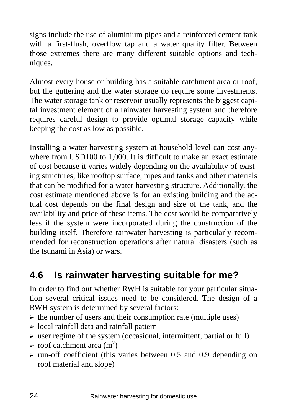signs include the use of aluminium pipes and a reinforced cement tank with a first-flush, overflow tap and a water quality filter. Between those extremes there are many different suitable options and techniques.

Almost every house or building has a suitable catchment area or roof, but the guttering and the water storage do require some investments. The water storage tank or reservoir usually represents the biggest capital investment element of a rainwater harvesting system and therefore requires careful design to provide optimal storage capacity while keeping the cost as low as possible.

Installing a water harvesting system at household level can cost anywhere from USD100 to 1,000. It is difficult to make an exact estimate of cost because it varies widely depending on the availability of existing structures, like rooftop surface, pipes and tanks and other materials that can be modified for a water harvesting structure. Additionally, the cost estimate mentioned above is for an existing building and the actual cost depends on the final design and size of the tank, and the availability and price of these items. The cost would be comparatively less if the system were incorporated during the construction of the building itself. Therefore rainwater harvesting is particularly recommended for reconstruction operations after natural disasters (such as the tsunami in Asia) or wars.

## **4.6 Is rainwater harvesting suitable for me?**

In order to find out whether RWH is suitable for your particular situation several critical issues need to be considered. The design of a RWH system is determined by several factors:

- $\triangleright$  the number of users and their consumption rate (multiple uses)
- $\triangleright$  local rainfall data and rainfall pattern
- $\triangleright$  user regime of the system (occasional, intermittent, partial or full)
- $\triangleright$  roof catchment area (m<sup>2</sup>)
- $\triangleright$  run-off coefficient (this varies between 0.5 and 0.9 depending on roof material and slope)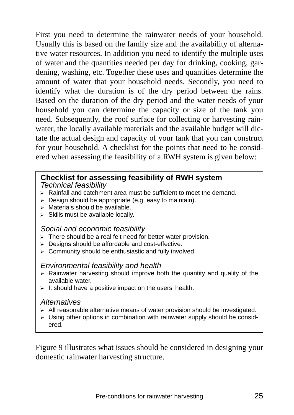First you need to determine the rainwater needs of your household. Usually this is based on the family size and the availability of alternative water resources. In addition you need to identify the multiple uses of water and the quantities needed per day for drinking, cooking, gardening, washing, etc. Together these uses and quantities determine the amount of water that your household needs. Secondly, you need to identify what the duration is of the dry period between the rains. Based on the duration of the dry period and the water needs of your household you can determine the capacity or size of the tank you need. Subsequently, the roof surface for collecting or harvesting rainwater, the locally available materials and the available budget will dictate the actual design and capacity of your tank that you can construct for your household. A checklist for the points that need to be considered when assessing the feasibility of a RWH system is given below:

### **Checklist for assessing feasibility of RWH system**

*Technical feasibility* 

- $\triangleright$  Rainfall and catchment area must be sufficient to meet the demand.
- $\triangleright$  Design should be appropriate (e.g. easy to maintain).
- $\triangleright$  Materials should be available.
- $\triangleright$  Skills must be available locally.

#### *Social and economic feasibility*

- $\triangleright$  There should be a real felt need for better water provision.
- $\triangleright$  Designs should be affordable and cost-effective.
- $\triangleright$  Community should be enthusiastic and fully involved.

#### *Environmental feasibility and health*

- $\triangleright$  Rainwater harvesting should improve both the quantity and quality of the available water.
- $\triangleright$  It should have a positive impact on the users' health.

#### *Alternatives*

- $\triangleright$  All reasonable alternative means of water provision should be investigated.
- $\triangleright$  Using other options in combination with rainwater supply should be considered.

Figure 9 illustrates what issues should be considered in designing your domestic rainwater harvesting structure.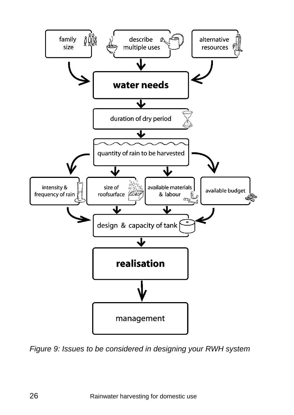

*Figure 9: Issues to be considered in designing your RWH system*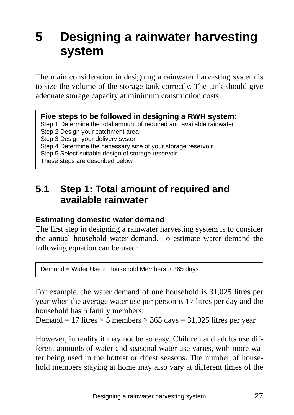# **5 Designing a rainwater harvesting system**

The main consideration in designing a rainwater harvesting system is to size the volume of the storage tank correctly. The tank should give adequate storage capacity at minimum construction costs.

#### **Five steps to be followed in designing a RWH system:**

Step 1 Determine the total amount of required and available rainwater

Step 2 Design your catchment area

Step 3 Design your delivery system

Step 4 Determine the necessary size of your storage reservoir

- Step 5 Select suitable design of storage reservoir
- These steps are described below.

## **5.1 Step 1: Total amount of required and available rainwater**

#### **Estimating domestic water demand**

The first step in designing a rainwater harvesting system is to consider the annual household water demand. To estimate water demand the following equation can be used:

Demand = Water Use  $\times$  Household Members  $\times$  365 days

For example, the water demand of one household is 31,025 litres per year when the average water use per person is 17 litres per day and the household has 5 family members:

Demand = 17 litres  $\times$  5 members  $\times$  365 days = 31,025 litres per year

However, in reality it may not be so easy. Children and adults use different amounts of water and seasonal water use varies, with more water being used in the hottest or driest seasons. The number of household members staying at home may also vary at different times of the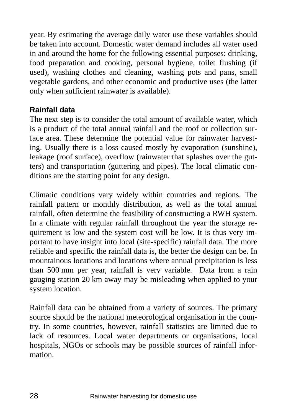year. By estimating the average daily water use these variables should be taken into account. Domestic water demand includes all water used in and around the home for the following essential purposes: drinking, food preparation and cooking, personal hygiene, toilet flushing (if used), washing clothes and cleaning, washing pots and pans, small vegetable gardens, and other economic and productive uses (the latter only when sufficient rainwater is available).

### **Rainfall data**

The next step is to consider the total amount of available water, which is a product of the total annual rainfall and the roof or collection surface area. These determine the potential value for rainwater harvesting. Usually there is a loss caused mostly by evaporation (sunshine), leakage (roof surface), overflow (rainwater that splashes over the gutters) and transportation (guttering and pipes). The local climatic conditions are the starting point for any design.

Climatic conditions vary widely within countries and regions. The rainfall pattern or monthly distribution, as well as the total annual rainfall, often determine the feasibility of constructing a RWH system. In a climate with regular rainfall throughout the year the storage requirement is low and the system cost will be low. It is thus very important to have insight into local (site-specific) rainfall data. The more reliable and specific the rainfall data is, the better the design can be. In mountainous locations and locations where annual precipitation is less than 500 mm per year, rainfall is very variable. Data from a rain gauging station 20 km away may be misleading when applied to your system location.

Rainfall data can be obtained from a variety of sources. The primary source should be the national meteorological organisation in the country. In some countries, however, rainfall statistics are limited due to lack of resources. Local water departments or organisations, local hospitals, NGOs or schools may be possible sources of rainfall information.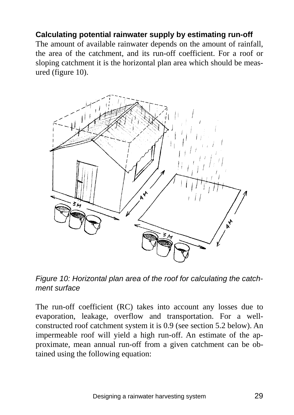### **Calculating potential rainwater supply by estimating run-off**

The amount of available rainwater depends on the amount of rainfall, the area of the catchment, and its run-off coefficient. For a roof or sloping catchment it is the horizontal plan area which should be measured (figure 10).



*Figure 10: Horizontal plan area of the roof for calculating the catchment surface* 

The run-off coefficient (RC) takes into account any losses due to evaporation, leakage, overflow and transportation. For a wellconstructed roof catchment system it is 0.9 (see section 5.2 below). An impermeable roof will yield a high run-off. An estimate of the approximate, mean annual run-off from a given catchment can be obtained using the following equation: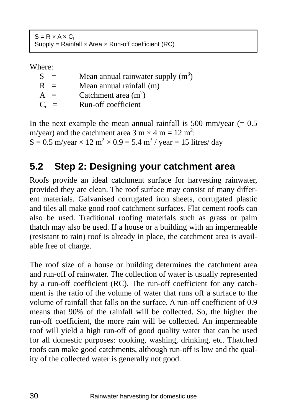$S = R \times A \times C_r$ Supply = Rainfall  $\times$  Area  $\times$  Run-off coefficient (RC)

Where:

| $=$     | Mean annual rainwater supply $(m^3)$ |
|---------|--------------------------------------|
| $R =$   | Mean annual rainfall (m)             |
| $A =$   | Catchment area $(m^2)$               |
| $C_r =$ | Run-off coefficient                  |
|         |                                      |

In the next example the mean annual rainfall is 500 mm/year  $(= 0.5)$ m/year) and the catchment area  $3 \text{ m} \times 4 \text{ m} = 12 \text{ m}^2$ :  $S = 0.5$  m/year  $\times 12$  m<sup>2</sup>  $\times 0.9 = 5.4$  m<sup>3</sup>/year = 15 litres/day

## **5.2 Step 2: Designing your catchment area**

Roofs provide an ideal catchment surface for harvesting rainwater, provided they are clean. The roof surface may consist of many different materials. Galvanised corrugated iron sheets, corrugated plastic and tiles all make good roof catchment surfaces. Flat cement roofs can also be used. Traditional roofing materials such as grass or palm thatch may also be used. If a house or a building with an impermeable (resistant to rain) roof is already in place, the catchment area is available free of charge.

The roof size of a house or building determines the catchment area and run-off of rainwater. The collection of water is usually represented by a run-off coefficient (RC). The run-off coefficient for any catchment is the ratio of the volume of water that runs off a surface to the volume of rainfall that falls on the surface. A run-off coefficient of 0.9 means that 90% of the rainfall will be collected. So, the higher the run-off coefficient, the more rain will be collected. An impermeable roof will yield a high run-off of good quality water that can be used for all domestic purposes: cooking, washing, drinking, etc. Thatched roofs can make good catchments, although run-off is low and the quality of the collected water is generally not good.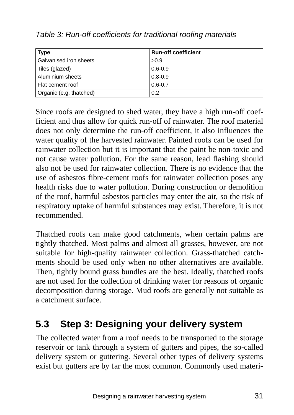| Type                    | <b>Run-off coefficient</b> |
|-------------------------|----------------------------|
| Galvanised iron sheets  | >0.9                       |
| Tiles (glazed)          | $0.6 - 0.9$                |
| l Aluminium sheets      | $0.8 - 0.9$                |
| Flat cement roof        | $0.6 - 0.7$                |
| Organic (e.g. thatched) | 0.2                        |

*Table 3: Run-off coefficients for traditional roofing materials* 

Since roofs are designed to shed water, they have a high run-off coefficient and thus allow for quick run-off of rainwater. The roof material does not only determine the run-off coefficient, it also influences the water quality of the harvested rainwater. Painted roofs can be used for rainwater collection but it is important that the paint be non-toxic and not cause water pollution. For the same reason, lead flashing should also not be used for rainwater collection. There is no evidence that the use of asbestos fibre-cement roofs for rainwater collection poses any health risks due to water pollution. During construction or demolition of the roof, harmful asbestos particles may enter the air, so the risk of respiratory uptake of harmful substances may exist. Therefore, it is not recommended.

Thatched roofs can make good catchments, when certain palms are tightly thatched. Most palms and almost all grasses, however, are not suitable for high-quality rainwater collection. Grass-thatched catchments should be used only when no other alternatives are available. Then, tightly bound grass bundles are the best. Ideally, thatched roofs are not used for the collection of drinking water for reasons of organic decomposition during storage. Mud roofs are generally not suitable as a catchment surface.

## **5.3 Step 3: Designing your delivery system**

The collected water from a roof needs to be transported to the storage reservoir or tank through a system of gutters and pipes, the so-called delivery system or guttering. Several other types of delivery systems exist but gutters are by far the most common. Commonly used materi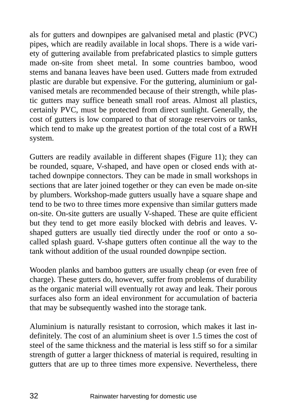als for gutters and downpipes are galvanised metal and plastic (PVC) pipes, which are readily available in local shops. There is a wide variety of guttering available from prefabricated plastics to simple gutters made on-site from sheet metal. In some countries bamboo, wood stems and banana leaves have been used. Gutters made from extruded plastic are durable but expensive. For the guttering, aluminium or galvanised metals are recommended because of their strength, while plastic gutters may suffice beneath small roof areas. Almost all plastics, certainly PVC, must be protected from direct sunlight. Generally, the cost of gutters is low compared to that of storage reservoirs or tanks, which tend to make up the greatest portion of the total cost of a RWH system.

Gutters are readily available in different shapes (Figure 11); they can be rounded, square, V-shaped, and have open or closed ends with attached downpipe connectors. They can be made in small workshops in sections that are later joined together or they can even be made on-site by plumbers. Workshop-made gutters usually have a square shape and tend to be two to three times more expensive than similar gutters made on-site. On-site gutters are usually V-shaped. These are quite efficient but they tend to get more easily blocked with debris and leaves. Vshaped gutters are usually tied directly under the roof or onto a socalled splash guard. V-shape gutters often continue all the way to the tank without addition of the usual rounded downpipe section.

Wooden planks and bamboo gutters are usually cheap (or even free of charge). These gutters do, however, suffer from problems of durability as the organic material will eventually rot away and leak. Their porous surfaces also form an ideal environment for accumulation of bacteria that may be subsequently washed into the storage tank.

Aluminium is naturally resistant to corrosion, which makes it last indefinitely. The cost of an aluminium sheet is over 1.5 times the cost of steel of the same thickness and the material is less stiff so for a similar strength of gutter a larger thickness of material is required, resulting in gutters that are up to three times more expensive. Nevertheless, there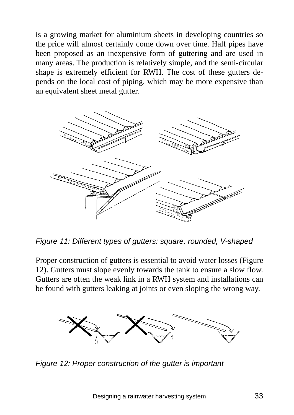is a growing market for aluminium sheets in developing countries so the price will almost certainly come down over time. Half pipes have been proposed as an inexpensive form of guttering and are used in many areas. The production is relatively simple, and the semi-circular shape is extremely efficient for RWH. The cost of these gutters depends on the local cost of piping, which may be more expensive than an equivalent sheet metal gutter.



*Figure 11: Different types of gutters: square, rounded, V-shaped* 

Proper construction of gutters is essential to avoid water losses (Figure 12). Gutters must slope evenly towards the tank to ensure a slow flow. Gutters are often the weak link in a RWH system and installations can be found with gutters leaking at joints or even sloping the wrong way.



*Figure 12: Proper construction of the gutter is important*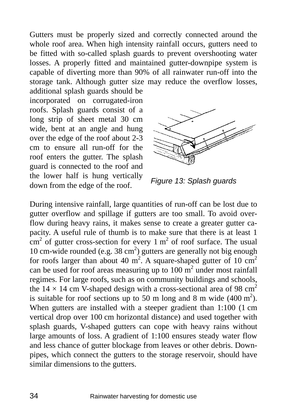Gutters must be properly sized and correctly connected around the whole roof area. When high intensity rainfall occurs, gutters need to be fitted with so-called splash guards to prevent overshooting water losses. A properly fitted and maintained gutter-downpipe system is capable of diverting more than 90% of all rainwater run-off into the storage tank. Although gutter size may reduce the overflow losses,

additional splash guards should be incorporated on corrugated-iron roofs. Splash guards consist of a long strip of sheet metal 30 cm wide, bent at an angle and hung over the edge of the roof about 2-3 cm to ensure all run-off for the roof enters the gutter. The splash guard is connected to the roof and the lower half is hung vertically down from the edge of the roof.



*Figure 13: Splash guards* 

During intensive rainfall, large quantities of run-off can be lost due to gutter overflow and spillage if gutters are too small. To avoid overflow during heavy rains, it makes sense to create a greater gutter capacity. A useful rule of thumb is to make sure that there is at least 1  $\text{cm}^2$  of gutter cross-section for every 1 m<sup>2</sup> of roof surface. The usual 10 cm-wide rounded (e.g.  $38 \text{ cm}^2$ ) gutters are generally not big enough for roofs larger than about 40 m<sup>2</sup>. A square-shaped gutter of 10 cm<sup>2</sup> can be used for roof areas measuring up to  $100 \text{ m}^2$  under most rainfall regimes. For large roofs, such as on community buildings and schools, the  $14 \times 14$  cm V-shaped design with a cross-sectional area of 98 cm<sup>2</sup> is suitable for roof sections up to 50 m long and 8 m wide  $(400 \text{ m}^2)$ . When gutters are installed with a steeper gradient than 1:100 (1 cm vertical drop over 100 cm horizontal distance) and used together with splash guards, V-shaped gutters can cope with heavy rains without large amounts of loss. A gradient of 1:100 ensures steady water flow and less chance of gutter blockage from leaves or other debris. Downpipes, which connect the gutters to the storage reservoir, should have similar dimensions to the gutters.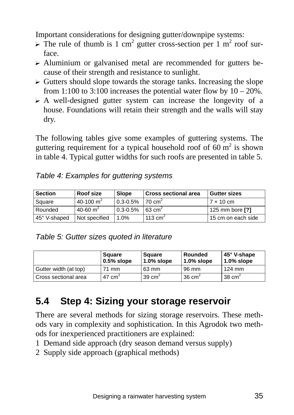Important considerations for designing gutter/downpipe systems:

- $\triangleright$  The rule of thumb is 1 cm<sup>2</sup> gutter cross-section per 1 m<sup>2</sup> roof surface.
- $\triangleright$  Aluminium or galvanised metal are recommended for gutters because of their strength and resistance to sunlight.
- $\triangleright$  Gutters should slope towards the storage tanks. Increasing the slope from 1:100 to 3:100 increases the potential water flow by  $10 - 20\%$ .
- $\triangleright$  A well-designed gutter system can increase the longevity of a house. Foundations will retain their strength and the walls will stay dry.

The following tables give some examples of guttering systems. The guttering requirement for a typical household roof of 60  $m<sup>2</sup>$  is shown in table 4. Typical gutter widths for such roofs are presented in table 5.

| <b>Section</b> | Roof size     | <b>Slope</b> | l Cross sectional area | <b>Gutter sizes</b> |
|----------------|---------------|--------------|------------------------|---------------------|
| Square         | 40-100 $m2$   | $0.3 - 0.5%$ | $170 \text{ cm}^2$     | $7 \times 10$ cm    |
| Rounded        | 40-60 $m2$    | $0.3 - 0.5%$ | $63 \text{ cm}^2$      | 125 mm bore [?]     |
| 45° V-shaped   | Not specified | .0%          | $113 \text{ cm}^2$     | 15 cm on each side  |

*Table 5: Gutter sizes quoted in literature* 

|                       | Square<br>$0.5%$ slope                 | Square<br>$1.0\%$ slope | Rounded<br>l 1.0% slope | ∣45° V-shape<br>$1.0\%$ slope |
|-----------------------|----------------------------------------|-------------------------|-------------------------|-------------------------------|
| Gutter width (at top) | 71 mm                                  | 63 mm                   | 96 mm                   | 124 mm                        |
| Cross sectional area  | 47 cm <sup><math>\epsilon</math></sup> | 39 cm <sup>2</sup>      | $36 \text{ cm}^2$       | 38 $cm2$                      |

## **5.4 Step 4: Sizing your storage reservoir**

There are several methods for sizing storage reservoirs. These methods vary in complexity and sophistication. In this Agrodok two methods for inexperienced practitioners are explained:

- 1 Demand side approach (dry season demand versus supply)
- 2 Supply side approach (graphical methods)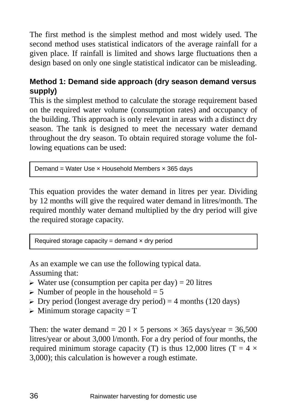The first method is the simplest method and most widely used. The second method uses statistical indicators of the average rainfall for a given place. If rainfall is limited and shows large fluctuations then a design based on only one single statistical indicator can be misleading.

### **Method 1: Demand side approach (dry season demand versus supply)**

This is the simplest method to calculate the storage requirement based on the required water volume (consumption rates) and occupancy of the building. This approach is only relevant in areas with a distinct dry season. The tank is designed to meet the necessary water demand throughout the dry season. To obtain required storage volume the following equations can be used:

Demand = Water Use  $\times$  Household Members  $\times$  365 days

This equation provides the water demand in litres per year. Dividing by 12 months will give the required water demand in litres/month. The required monthly water demand multiplied by the dry period will give the required storage capacity.

Required storage capacity = demand  $\times$  dry period

As an example we can use the following typical data. Assuming that:

- $\triangleright$  Water use (consumption per capita per day) = 20 litres
- $\triangleright$  Number of people in the household = 5
- $\triangleright$  Dry period (longest average dry period) = 4 months (120 days)
- $\triangleright$  Minimum storage capacity = T

Then: the water demand =  $20 \times 5$  persons  $\times 365$  days/year = 36,500 litres/year or about 3,000 l/month. For a dry period of four months, the required minimum storage capacity (T) is thus 12,000 litres (T =  $4 \times$ 3,000); this calculation is however a rough estimate.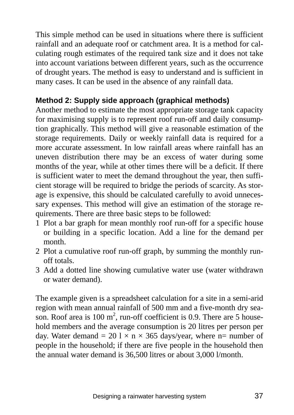This simple method can be used in situations where there is sufficient rainfall and an adequate roof or catchment area. It is a method for calculating rough estimates of the required tank size and it does not take into account variations between different years, such as the occurrence of drought years. The method is easy to understand and is sufficient in many cases. It can be used in the absence of any rainfall data.

#### **Method 2: Supply side approach (graphical methods)**

Another method to estimate the most appropriate storage tank capacity for maximising supply is to represent roof run-off and daily consumption graphically. This method will give a reasonable estimation of the storage requirements. Daily or weekly rainfall data is required for a more accurate assessment. In low rainfall areas where rainfall has an uneven distribution there may be an excess of water during some months of the year, while at other times there will be a deficit. If there is sufficient water to meet the demand throughout the year, then sufficient storage will be required to bridge the periods of scarcity. As storage is expensive, this should be calculated carefully to avoid unnecessary expenses. This method will give an estimation of the storage requirements. There are three basic steps to be followed:

- 1 Plot a bar graph for mean monthly roof run-off for a specific house or building in a specific location. Add a line for the demand per month.
- 2 Plot a cumulative roof run-off graph, by summing the monthly runoff totals.
- 3 Add a dotted line showing cumulative water use (water withdrawn or water demand).

The example given is a spreadsheet calculation for a site in a semi-arid region with mean annual rainfall of 500 mm and a five-month dry season. Roof area is 100  $m^2$ , run-off coefficient is 0.9. There are 5 household members and the average consumption is 20 litres per person per day. Water demand = 20 l  $\times$  n  $\times$  365 days/year, where n= number of people in the household; if there are five people in the household then the annual water demand is 36,500 litres or about 3,000 l/month.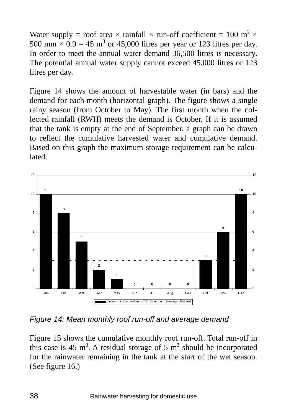Water supply = roof area  $\times$  rainfall  $\times$  run-off coefficient = 100 m<sup>2</sup>  $\times$ 500 mm  $\times$  0.9 = 45 m<sup>3</sup> or 45,000 litres per year or 123 litres per day. In order to meet the annual water demand 36,500 litres is necessary. The potential annual water supply cannot exceed 45,000 litres or 123 litres per day.

Figure 14 shows the amount of harvestable water (in bars) and the demand for each month (horizontal graph). The figure shows a single rainy season (from October to May). The first month when the collected rainfall (RWH) meets the demand is October. If it is assumed that the tank is empty at the end of September, a graph can be drawn to reflect the cumulative harvested water and cumulative demand. Based on this graph the maximum storage requirement can be calculated.



*Figure 14: Mean monthly roof run-off and average demand* 

Figure 15 shows the cumulative monthly roof run-off. Total run-off in this case is 45 m<sup>3</sup>. A residual storage of 5 m<sup>3</sup> should be incorporated for the rainwater remaining in the tank at the start of the wet season. (See figure 16.)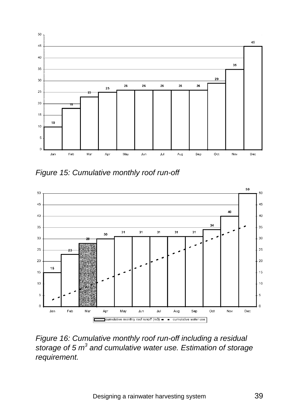

*Figure 15: Cumulative monthly roof run-off* 



*Figure 16: Cumulative monthly roof run-off including a residual*  storage of 5 m<sup>3</sup> and cumulative water use. Estimation of storage *requirement.*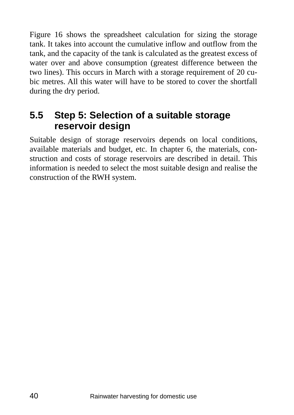Figure 16 shows the spreadsheet calculation for sizing the storage tank. It takes into account the cumulative inflow and outflow from the tank, and the capacity of the tank is calculated as the greatest excess of water over and above consumption (greatest difference between the two lines). This occurs in March with a storage requirement of 20 cubic metres. All this water will have to be stored to cover the shortfall during the dry period.

### **5.5 Step 5: Selection of a suitable storage reservoir design**

Suitable design of storage reservoirs depends on local conditions, available materials and budget, etc. In chapter 6, the materials, construction and costs of storage reservoirs are described in detail. This information is needed to select the most suitable design and realise the construction of the RWH system.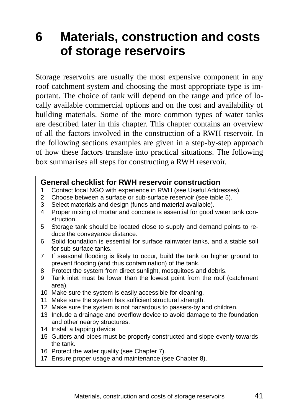## **6 Materials, construction and costs of storage reservoirs**

Storage reservoirs are usually the most expensive component in any roof catchment system and choosing the most appropriate type is important. The choice of tank will depend on the range and price of locally available commercial options and on the cost and availability of building materials. Some of the more common types of water tanks are described later in this chapter. This chapter contains an overview of all the factors involved in the construction of a RWH reservoir. In the following sections examples are given in a step-by-step approach of how these factors translate into practical situations. The following box summarises all steps for constructing a RWH reservoir.

#### **General checklist for RWH reservoir construction**

- 1 Contact local NGO with experience in RWH (see Useful Addresses).
- 2 Choose between a surface or sub-surface reservoir (see table 5).
- 3 Select materials and design (funds and material available).
- 4 Proper mixing of mortar and concrete is essential for good water tank construction.
- 5 Storage tank should be located close to supply and demand points to reduce the conveyance distance.
- 6 Solid foundation is essential for surface rainwater tanks, and a stable soil for sub-surface tanks.
- 7 If seasonal flooding is likely to occur, build the tank on higher ground to prevent flooding (and thus contamination) of the tank.
- 8 Protect the system from direct sunlight, mosquitoes and debris.
- 9 Tank inlet must be lower than the lowest point from the roof (catchment area).
- 10 Make sure the system is easily accessible for cleaning.
- 11 Make sure the system has sufficient structural strength.
- 12 Make sure the system is not hazardous to passers-by and children.
- 13 Include a drainage and overflow device to avoid damage to the foundation and other nearby structures.
- 14 Install a tapping device
- 15 Gutters and pipes must be properly constructed and slope evenly towards the tank.
- 16 Protect the water quality (see Chapter 7).
- 17 Ensure proper usage and maintenance (see Chapter 8).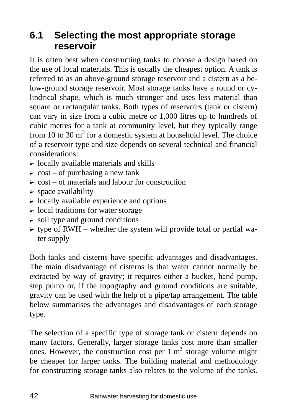### **6.1 Selecting the most appropriate storage reservoir**

It is often best when constructing tanks to choose a design based on the use of local materials. This is usually the cheapest option. A tank is referred to as an above-ground storage reservoir and a cistern as a below-ground storage reservoir. Most storage tanks have a round or cylindrical shape, which is much stronger and uses less material than square or rectangular tanks. Both types of reservoirs (tank or cistern) can vary in size from a cubic metre or 1,000 litres up to hundreds of cubic metres for a tank at community level, but they typically range from 10 to 30  $m<sup>3</sup>$  for a domestic system at household level. The choice of a reservoir type and size depends on several technical and financial considerations:

- $\triangleright$  locally available materials and skills
- $\triangleright$  cost of purchasing a new tank
- $\geq$  cost of materials and labour for construction
- $\triangleright$  space availability
- $\triangleright$  locally available experience and options
- $\triangleright$  local traditions for water storage
- $\triangleright$  soil type and ground conditions
- $\triangleright$  type of RWH whether the system will provide total or partial water supply

Both tanks and cisterns have specific advantages and disadvantages. The main disadvantage of cisterns is that water cannot normally be extracted by way of gravity; it requires either a bucket, hand pump, step pump or, if the topography and ground conditions are suitable, gravity can be used with the help of a pipe/tap arrangement. The table below summarises the advantages and disadvantages of each storage type.

The selection of a specific type of storage tank or cistern depends on many factors. Generally, larger storage tanks cost more than smaller ones. However, the construction cost per  $1 \text{ m}^3$  storage volume might be cheaper for larger tanks. The building material and methodology for constructing storage tanks also relates to the volume of the tanks.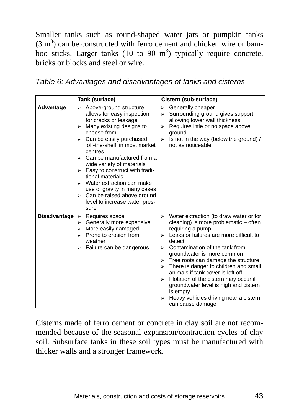Smaller tanks such as round-shaped water jars or pumpkin tanks  $(3 \text{ m}^3)$  can be constructed with ferro cement and chicken wire or bamboo sticks. Larger tanks  $(10 \text{ to } 90 \text{ m}^3)$  typically require concrete, bricks or blocks and steel or wire.

|              | Tank (surface)                                                                                                                                                                                                                                                                                                                                                                                                                                                      | Cistern (sub-surface)                                                                                                                                                                                                                                                                                                                                                                                                                                                                                                                  |
|--------------|---------------------------------------------------------------------------------------------------------------------------------------------------------------------------------------------------------------------------------------------------------------------------------------------------------------------------------------------------------------------------------------------------------------------------------------------------------------------|----------------------------------------------------------------------------------------------------------------------------------------------------------------------------------------------------------------------------------------------------------------------------------------------------------------------------------------------------------------------------------------------------------------------------------------------------------------------------------------------------------------------------------------|
| Advantage    | Above-ground structure<br>allows for easy inspection<br>for cracks or leakage<br>Many existing designs to<br>⊳<br>choose from<br>Can be easily purchased<br>'off-the-shelf' in most market<br>centres<br>Can be manufactured from a<br>wide variety of materials<br>Easy to construct with tradi-<br>⋗<br>tional materials<br>Water extraction can make<br>use of gravity in many cases<br>Can be raised above ground<br>⋗<br>level to increase water pres-<br>sure | Generally cheaper<br>⋗<br>Surrounding ground gives support<br>allowing lower wall thickness<br>Requires little or no space above<br>⊳<br>ground<br>Is not in the way (below the ground) /<br>⋗<br>not as noticeable                                                                                                                                                                                                                                                                                                                    |
| Disadvantage | Requires space<br>⋗<br>Generally more expensive<br>⋗<br>More easily damaged<br>⊳<br>Prone to erosion from<br>weather<br>Failure can be dangerous                                                                                                                                                                                                                                                                                                                    | Water extraction (to draw water or for<br>cleaning) is more problematic - often<br>requiring a pump<br>Leaks or failures are more difficult to<br>$\blacktriangleright$<br>detect<br>Contamination of the tank from<br>groundwater is more common<br>Tree roots can damage the structure<br>⋗<br>There is danger to children and small<br>animals if tank cover is left off<br>Flotation of the cistern may occur if<br>groundwater level is high and cistern<br>is empty<br>Heavy vehicles driving near a cistern<br>can cause damage |

Cisterns made of ferro cement or concrete in clay soil are not recommended because of the seasonal expansion/contraction cycles of clay soil. Subsurface tanks in these soil types must be manufactured with thicker walls and a stronger framework.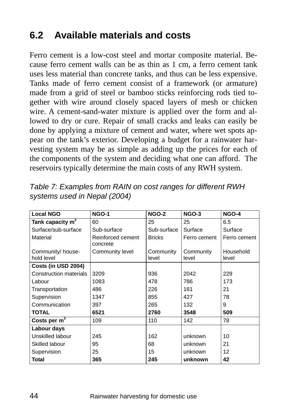### **6.2 Available materials and costs**

Ferro cement is a low-cost steel and mortar composite material. Because ferro cement walls can be as thin as 1 cm, a ferro cement tank uses less material than concrete tanks, and thus can be less expensive. Tanks made of ferro cement consist of a framework (or armature) made from a grid of steel or bamboo sticks reinforcing rods tied together with wire around closely spaced layers of mesh or chicken wire. A cement-sand-water mixture is applied over the form and allowed to dry or cure. Repair of small cracks and leaks can easily be done by applying a mixture of cement and water, where wet spots appear on the tank's exterior. Developing a budget for a rainwater harvesting system may be as simple as adding up the prices for each of the components of the system and deciding what one can afford. The reservoirs typically determine the main costs of any RWH system.

| <b>Local NGO</b>                | <b>NGO-1</b>                  | <b>NGO-2</b>       | <b>NGO-3</b>       | <b>NGO-4</b>       |
|---------------------------------|-------------------------------|--------------------|--------------------|--------------------|
| Tank capacity $m^3$             | 60                            | 25                 | 25                 | 6.5                |
| Surface/sub-surface             | Sub-surface                   | Sub-surface        | Surface            | Surface            |
| Material                        | Reinforced cement<br>concrete | <b>Bricks</b>      | Ferro cement       | Ferro cement       |
| Community/ house-<br>hold level | Community level               | Community<br>level | Community<br>level | Household<br>level |
| Costs (in USD 2004)             |                               |                    |                    |                    |
| <b>Construction materials</b>   | 3209                          | 936                | 2042               | 229                |
| Labour                          | 1083                          | 478                | 786                | 173                |
| Transportation                  | 486                           | 226                | 161                | 21                 |
| Supervision                     | 1347                          | 855                | 427                | 78                 |
| Communication                   | 397                           | 265                | 132                | 9                  |
| <b>TOTAL</b>                    | 6521                          | 2760               | 3548               | 509                |
| Costs per $m3$                  | 109                           | 110                | 142                | 78                 |
| Labour days                     |                               |                    |                    |                    |
| Unskilled labour                | 245                           | 162                | unknown            | 10                 |
| Skilled labour                  | 95                            | 68                 | unknown            | 21                 |
| Supervision                     | 25                            | 15                 | unknown            | 12                 |
| Total                           | 365                           | 245                | unknown            | 42                 |

*Table 7: Examples from RAIN on cost ranges for different RWH systems used in Nepal (2004)*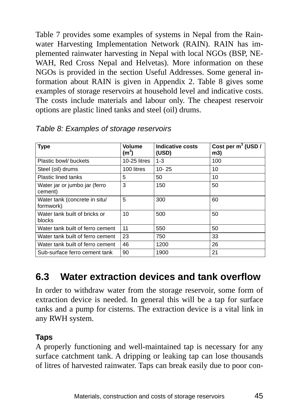Table 7 provides some examples of systems in Nepal from the Rainwater Harvesting Implementation Network (RAIN). RAIN has implemented rainwater harvesting in Nepal with local NGOs (BSP, NE-WAH, Red Cross Nepal and Helvetas). More information on these NGOs is provided in the section Useful Addresses. Some general information about RAIN is given in Appendix 2. Table 8 gives some examples of storage reservoirs at household level and indicative costs. The costs include materials and labour only. The cheapest reservoir options are plastic lined tanks and steel (oil) drums.

| <b>Type</b>                                | Volume<br>$(m^3)$ | <b>Indicative costs</b><br>(USD) | Cost per $m^3$ (USD /<br>m3) |
|--------------------------------------------|-------------------|----------------------------------|------------------------------|
| Plastic bowl/ buckets                      | $10-25$ litres    | $1 - 3$                          | 100                          |
| Steel (oil) drums                          | 100 litres        | $10 - 25$                        | 10                           |
| Plastic lined tanks                        | 5                 | 50                               | 10                           |
| Water jar or jumbo jar (ferro<br>cement)   | 3                 | 150                              | 50                           |
| Water tank (concrete in situ/<br>formwork) | 5                 | 300                              | 60                           |
| Water tank built of bricks or<br>blocks    | 10                | 500                              | 50                           |
| Water tank built of ferro cement           | 11                | 550                              | 50                           |
| Water tank built of ferro cement           | 23                | 750                              | 33                           |
| Water tank built of ferro cement           | 46                | 1200                             | 26                           |
| Sub-surface ferro cement tank              | 90                | 1900                             | 21                           |

*Table 8: Examples of storage reservoirs* 

### **6.3 Water extraction devices and tank overflow**

In order to withdraw water from the storage reservoir, some form of extraction device is needed. In general this will be a tap for surface tanks and a pump for cisterns. The extraction device is a vital link in any RWH system.

#### **Taps**

A properly functioning and well-maintained tap is necessary for any surface catchment tank. A dripping or leaking tap can lose thousands of litres of harvested rainwater. Taps can break easily due to poor con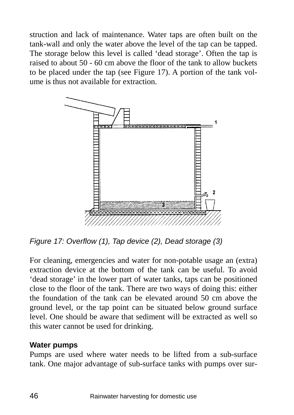struction and lack of maintenance. Water taps are often built on the tank-wall and only the water above the level of the tap can be tapped. The storage below this level is called 'dead storage'. Often the tap is raised to about 50 - 60 cm above the floor of the tank to allow buckets to be placed under the tap (see Figure 17). A portion of the tank volume is thus not available for extraction.



*Figure 17: Overflow (1), Tap device (2), Dead storage (3)* 

For cleaning, emergencies and water for non-potable usage an (extra) extraction device at the bottom of the tank can be useful. To avoid 'dead storage' in the lower part of water tanks, taps can be positioned close to the floor of the tank. There are two ways of doing this: either the foundation of the tank can be elevated around 50 cm above the ground level, or the tap point can be situated below ground surface level. One should be aware that sediment will be extracted as well so this water cannot be used for drinking.

#### **Water pumps**

Pumps are used where water needs to be lifted from a sub-surface tank. One major advantage of sub-surface tanks with pumps over sur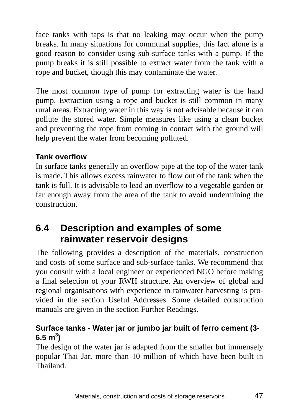face tanks with taps is that no leaking may occur when the pump breaks. In many situations for communal supplies, this fact alone is a good reason to consider using sub-surface tanks with a pump. If the pump breaks it is still possible to extract water from the tank with a rope and bucket, though this may contaminate the water.

The most common type of pump for extracting water is the hand pump. Extraction using a rope and bucket is still common in many rural areas. Extracting water in this way is not advisable because it can pollute the stored water. Simple measures like using a clean bucket and preventing the rope from coming in contact with the ground will help prevent the water from becoming polluted.

### **Tank overflow**

In surface tanks generally an overflow pipe at the top of the water tank is made. This allows excess rainwater to flow out of the tank when the tank is full. It is advisable to lead an overflow to a vegetable garden or far enough away from the area of the tank to avoid undermining the construction.

### **6.4 Description and examples of some rainwater reservoir designs**

The following provides a description of the materials, construction and costs of some surface and sub-surface tanks. We recommend that you consult with a local engineer or experienced NGO before making a final selection of your RWH structure. An overview of global and regional organisations with experience in rainwater harvesting is provided in the section Useful Addresses. Some detailed construction manuals are given in the section Further Readings.

### **Surface tanks - Water jar or jumbo jar built of ferro cement (3- 6.5 m<sup>3</sup> )**

The design of the water jar is adapted from the smaller but immensely popular Thai Jar, more than 10 million of which have been built in Thailand.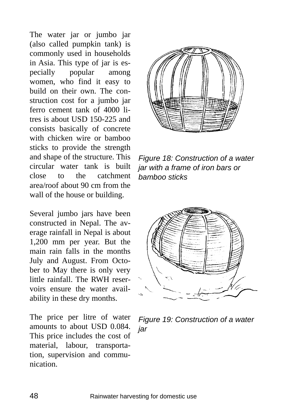The water jar or jumbo jar (also called pumpkin tank) is commonly used in households in Asia. This type of jar is especially popular among women, who find it easy to build on their own. The construction cost for a jumbo jar ferro cement tank of 4000 litres is about USD 150-225 and consists basically of concrete with chicken wire or bamboo sticks to provide the strength and shape of the structure. This circular water tank is built close to the catchment area/roof about 90 cm from the wall of the house or building.

Several jumbo jars have been constructed in Nepal. The average rainfall in Nepal is about 1,200 mm per year. But the main rain falls in the months July and August. From October to May there is only very little rainfall. The RWH reservoirs ensure the water availability in these dry months.

The price per litre of water amounts to about USD 0.084. This price includes the cost of material, labour, transportation, supervision and communication.



*Figure 18: Construction of a water jar with a frame of iron bars or bamboo sticks* 



*Figure 19: Construction of a water jar*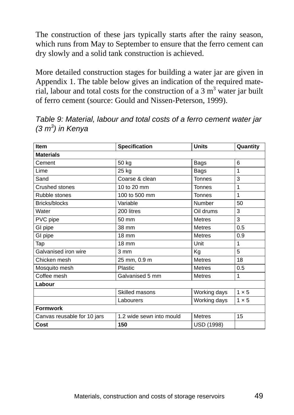The construction of these jars typically starts after the rainy season, which runs from May to September to ensure that the ferro cement can dry slowly and a solid tank construction is achieved.

More detailed construction stages for building a water jar are given in Appendix 1. The table below gives an indication of the required material, labour and total costs for the construction of a 3  $m<sup>3</sup>$  water jar built of ferro cement (source: Gould and Nissen-Peterson, 1999).

| <b>Item</b>                 | <b>Specification</b>     | <b>Units</b>  | Quantity     |
|-----------------------------|--------------------------|---------------|--------------|
| <b>Materials</b>            |                          |               |              |
| Cement                      | 50 kg                    | Bags          | 6            |
| Lime                        | 25 kg                    | Bags          | 1            |
| Sand                        | Coarse & clean           | <b>Tonnes</b> | 3            |
| Crushed stones              | 10 to 20 mm              | <b>Tonnes</b> | 1            |
| Rubble stones               | 100 to 500 mm            | <b>Tonnes</b> | 1            |
| Bricks/blocks               | Variable                 | Number        | 50           |
| Water                       | 200 litres               | Oil drums     | 3            |
| PVC pipe                    | 50 mm                    | <b>Metres</b> | 3            |
| GI pipe                     | 38 mm                    | <b>Metres</b> | 0.5          |
| GI pipe                     | <b>18 mm</b>             | <b>Metres</b> | 0.9          |
| Tap                         | $18 \text{ mm}$          | Unit          | 1            |
| Galvanised iron wire        | 3 mm                     | Kg            | 5            |
| Chicken mesh                | 25 mm, 0.9 m             | <b>Metres</b> | 18           |
| Mosquito mesh               | Plastic                  | <b>Metres</b> | 0.5          |
| Coffee mesh                 | Galvanised 5 mm          | <b>Metres</b> | 1            |
| Labour                      |                          |               |              |
|                             | Skilled masons           | Working days  | $1 \times 5$ |
|                             | Labourers                | Working days  | $1 \times 5$ |
| <b>Formwork</b>             |                          |               |              |
| Canvas reusable for 10 jars | 1.2 wide sewn into mould | <b>Metres</b> | 15           |
| Cost                        | 150                      | USD (1998)    |              |

*Table 9: Material, labour and total costs of a ferro cement water jar (3 m3 ) in Kenya*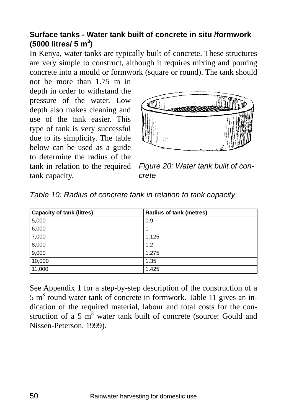### **Surface tanks - Water tank built of concrete in situ /formwork (5000 litres/ 5 m<sup>3</sup> )**

In Kenya, water tanks are typically built of concrete. These structures are very simple to construct, although it requires mixing and pouring concrete into a mould or formwork (square or round). The tank should

not be more than 1.75 m in depth in order to withstand the pressure of the water. Low depth also makes cleaning and use of the tank easier. This type of tank is very successful due to its simplicity. The table below can be used as a guide to determine the radius of the tank in relation to the required tank capacity.



*Figure 20: Water tank built of concrete* 

| Capacity of tank (litres) | <b>Radius of tank (metres)</b> |
|---------------------------|--------------------------------|
| 5,000                     | 0.9                            |
| 6,000                     |                                |
| 7,000                     | 1.125                          |
| 8,000                     | 1.2                            |
| 9,000                     | 1.275                          |
| 10,000                    | 1.35                           |
| 11,000                    | 1.425                          |

*Table 10: Radius of concrete tank in relation to tank capacity* 

See Appendix 1 for a step-by-step description of the construction of a  $5 \text{ m}^3$  round water tank of concrete in formwork. Table 11 gives an indication of the required material, labour and total costs for the construction of a 5  $\mathrm{m}^3$  water tank built of concrete (source: Gould and Nissen-Peterson, 1999).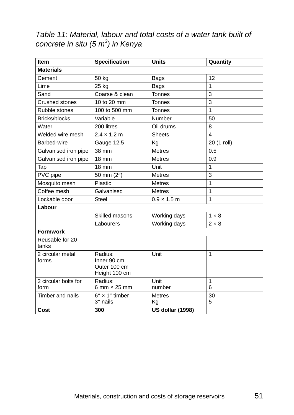*Table 11: Material, labour and total costs of a water tank built of concrete in situ (5 m3 ) in Kenya* 

| <b>Item</b>                  | <b>Specification</b>                                    | <b>Units</b>            | Quantity          |
|------------------------------|---------------------------------------------------------|-------------------------|-------------------|
| <b>Materials</b>             |                                                         |                         |                   |
| Cement                       | 50 kg                                                   | Bags                    | 12                |
| Lime                         | 25 kg                                                   | <b>Bags</b>             | 1                 |
| Sand                         | Coarse & clean                                          | <b>Tonnes</b>           | 3                 |
| Crushed stones               | 10 to 20 mm                                             | <b>Tonnes</b>           | 3                 |
| Rubble stones                | 100 to 500 mm                                           | <b>Tonnes</b>           | 1                 |
| Bricks/blocks                | Variable                                                | Number                  | 50                |
| Water                        | 200 litres                                              | Oil drums               | 8                 |
| Welded wire mesh             | $2.4 \times 1.2 \text{ m}$                              | <b>Sheets</b>           | 4                 |
| Barbed-wire                  | Gauge 12.5                                              | Kg                      | 20 (1 roll)       |
| Galvanised iron pipe         | 38 mm                                                   | <b>Metres</b>           | 0.5               |
| Galvanised iron pipe         | 18 mm                                                   | <b>Metres</b>           | 0.9               |
| Tap                          | 18 mm                                                   | Unit                    | $\overline{1}$    |
| PVC pipe                     | 50 mm (2")                                              | <b>Metres</b>           | 3                 |
| Mosquito mesh                | Plastic                                                 | <b>Metres</b>           | $\overline{1}$    |
| Coffee mesh                  | Galvanised                                              | <b>Metres</b>           | 1                 |
| Lockable door                | <b>Steel</b>                                            | $0.9 \times 1.5$ m      | 1                 |
| Labour                       |                                                         |                         |                   |
|                              | Skilled masons                                          | Working days            | $1 \times 8$      |
|                              | Labourers                                               | Working days            | $2 \times 8$      |
| <b>Formwork</b>              |                                                         |                         |                   |
| Reusable for 20<br>tanks     |                                                         |                         |                   |
| 2 circular metal<br>forms    | Radius:<br>Inner 90 cm<br>Outer 100 cm<br>Height 100 cm | Unit                    | 1                 |
| 2 circular bolts for<br>form | Radius:<br>6 mm $\times$ 25 mm                          | Unit<br>number          | $\mathbf{1}$<br>6 |
| Timber and nails             | $6'' \times 1''$ timber<br>3" nails                     | <b>Metres</b><br>Kg     | 30<br>5           |
| Cost                         | 300                                                     | <b>US dollar (1998)</b> |                   |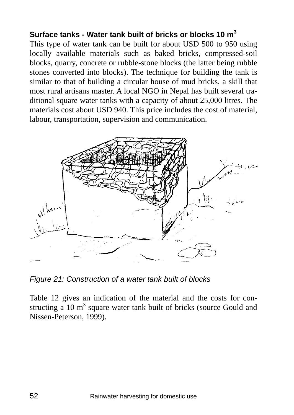#### **Surface tanks - Water tank built of bricks or blocks 10 m<sup>3</sup>**

This type of water tank can be built for about USD 500 to 950 using locally available materials such as baked bricks, compressed-soil blocks, quarry, concrete or rubble-stone blocks (the latter being rubble stones converted into blocks). The technique for building the tank is similar to that of building a circular house of mud bricks, a skill that most rural artisans master. A local NGO in Nepal has built several traditional square water tanks with a capacity of about 25,000 litres. The materials cost about USD 940. This price includes the cost of material, labour, transportation, supervision and communication.



*Figure 21: Construction of a water tank built of blocks* 

Table 12 gives an indication of the material and the costs for constructing a 10  $m<sup>3</sup>$  square water tank built of bricks (source Gould and Nissen-Peterson, 1999).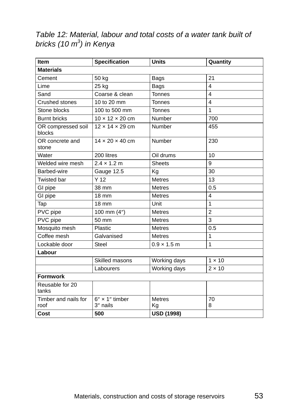*Table 12: Material, labour and total costs of a water tank built of bricks (10 m3 ) in Kenya* 

| Item                         | Specification                       | <b>Units</b>        | Quantity       |
|------------------------------|-------------------------------------|---------------------|----------------|
| <b>Materials</b>             |                                     |                     |                |
| Cement                       | 50 kg                               | Bags                | 21             |
| Lime                         | 25 kg                               | <b>Bags</b>         | 4              |
| Sand                         | Coarse & clean                      | <b>Tonnes</b>       | 4              |
| <b>Crushed stones</b>        | 10 to 20 mm                         | <b>Tonnes</b>       | 4              |
| Stone blocks                 | 100 to 500 mm                       | <b>Tonnes</b>       | 1              |
| <b>Burnt bricks</b>          | $10 \times 12 \times 20$ cm         | Number              | 700            |
| OR compressed soil<br>blocks | $12 \times 14 \times 29$ cm         | Number              | 455            |
| OR concrete and<br>stone     | $14 \times 20 \times 40$ cm         | Number              | 230            |
| Water                        | 200 litres                          | Oil drums           | 10             |
| Welded wire mesh             | $2.4 \times 1.2 \text{ m}$          | <b>Sheets</b>       | 9              |
| Barbed-wire                  | Gauge 12.5                          | Kg                  | 30             |
| Twisted bar                  | Y <sub>12</sub>                     | <b>Metres</b>       | 13             |
| GI pipe                      | 38 mm                               | <b>Metres</b>       | 0.5            |
| GI pipe                      | 18 mm                               | <b>Metres</b>       | 4              |
| Tap                          | 18 mm                               | Unit                | $\mathbf{1}$   |
| PVC pipe                     | 100 mm $(4")$                       | <b>Metres</b>       | $\overline{2}$ |
| PVC pipe                     | 50 mm                               | <b>Metres</b>       | 3              |
| Mosquito mesh                | Plastic                             | <b>Metres</b>       | 0.5            |
| Coffee mesh                  | Galvanised                          | <b>Metres</b>       | 1              |
| Lockable door                | <b>Steel</b>                        | $0.9 \times 1.5$ m  | 1              |
| Labour                       |                                     |                     |                |
|                              | Skilled masons                      | Working days        | $1 \times 10$  |
|                              | Labourers                           | Working days        | $2 \times 10$  |
| <b>Formwork</b>              |                                     |                     |                |
| Reusable for 20<br>tanks     |                                     |                     |                |
| Timber and nails for<br>roof | $6'' \times 1''$ timber<br>3" nails | <b>Metres</b><br>Kg | 70<br>8        |
| Cost                         | 500                                 | <b>USD (1998)</b>   |                |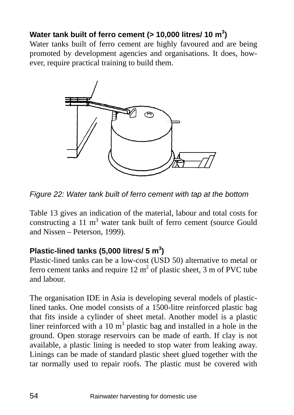### Water tank built of ferro cement (> 10,000 litres/ 10 m<sup>3</sup>)

Water tanks built of ferro cement are highly favoured and are being promoted by development agencies and organisations. It does, however, require practical training to build them.



*Figure 22: Water tank built of ferro cement with tap at the bottom* 

Table 13 gives an indication of the material, labour and total costs for constructing a 11  $m<sup>3</sup>$  water tank built of ferro cement (source Gould and Nissen – Peterson, 1999).

### **Plastic-lined tanks (5,000 litres/ 5 m<sup>3</sup> )**

Plastic-lined tanks can be a low-cost (USD 50) alternative to metal or ferro cement tanks and require  $12 \text{ m}^2$  of plastic sheet, 3 m of PVC tube and labour.

The organisation IDE in Asia is developing several models of plasticlined tanks. One model consists of a 1500-litre reinforced plastic bag that fits inside a cylinder of sheet metal. Another model is a plastic liner reinforced with a 10  $m<sup>3</sup>$  plastic bag and installed in a hole in the ground. Open storage reservoirs can be made of earth. If clay is not available, a plastic lining is needed to stop water from leaking away. Linings can be made of standard plastic sheet glued together with the tar normally used to repair roofs. The plastic must be covered with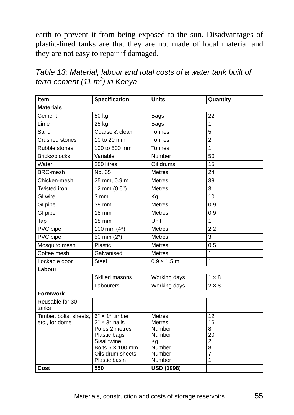earth to prevent it from being exposed to the sun. Disadvantages of plastic-lined tanks are that they are not made of local material and they are not easy to repair if damaged.

| Table 13: Material, labour and total costs of a water tank built of |
|---------------------------------------------------------------------|
| ferro cement (11 m <sup>3</sup> ) in Kenya                          |

| Item                                     | <b>Specification</b>                                                                                                                                               | <b>Units</b>                                                                           | Quantity                                             |
|------------------------------------------|--------------------------------------------------------------------------------------------------------------------------------------------------------------------|----------------------------------------------------------------------------------------|------------------------------------------------------|
| <b>Materials</b>                         |                                                                                                                                                                    |                                                                                        |                                                      |
| Cement                                   | 50 kg                                                                                                                                                              | Bags                                                                                   | 22                                                   |
| Lime                                     | 25 kg                                                                                                                                                              | Bags                                                                                   | 1                                                    |
| Sand                                     | Coarse & clean                                                                                                                                                     | Tonnes                                                                                 | 5                                                    |
| Crushed stones                           | 10 to 20 mm                                                                                                                                                        | Tonnes                                                                                 | $\overline{2}$                                       |
| Rubble stones                            | 100 to 500 mm                                                                                                                                                      | <b>Tonnes</b>                                                                          | $\mathbf{1}$                                         |
| Bricks/blocks                            | Variable                                                                                                                                                           | Number                                                                                 | 50                                                   |
| Water                                    | 200 litres                                                                                                                                                         | Oil drums                                                                              | 15                                                   |
| <b>BRC-mesh</b>                          | No. 65                                                                                                                                                             | <b>Metres</b>                                                                          | 24                                                   |
| Chicken-mesh                             | 25 mm, 0.9 m                                                                                                                                                       | <b>Metres</b>                                                                          | 38                                                   |
| Twisted iron                             | 12 mm (0.5")                                                                                                                                                       | <b>Metres</b>                                                                          | 3                                                    |
| GI wire                                  | $3 \, \text{mm}$                                                                                                                                                   | Kg                                                                                     | 10                                                   |
| GI pipe                                  | 38 mm                                                                                                                                                              | <b>Metres</b>                                                                          | 0.9                                                  |
| GI pipe                                  | 18 mm                                                                                                                                                              | <b>Metres</b>                                                                          | 0.9                                                  |
| Tap                                      | $18 \text{ mm}$                                                                                                                                                    | Unit                                                                                   | 1                                                    |
| PVC pipe                                 | 100 mm (4")                                                                                                                                                        | <b>Metres</b>                                                                          | 2.2                                                  |
| PVC pipe                                 | 50 mm (2")                                                                                                                                                         | <b>Metres</b>                                                                          | 3                                                    |
| Mosquito mesh                            | Plastic                                                                                                                                                            | <b>Metres</b>                                                                          | 0.5                                                  |
| Coffee mesh                              | Galvanised                                                                                                                                                         | <b>Metres</b>                                                                          | 1                                                    |
| Lockable door                            | Steel                                                                                                                                                              | $0.9 \times 1.5$ m                                                                     | 1                                                    |
| Labour                                   |                                                                                                                                                                    |                                                                                        |                                                      |
|                                          | Skilled masons                                                                                                                                                     | Working days                                                                           | $1 \times 8$                                         |
|                                          | Labourers                                                                                                                                                          | Working days                                                                           | $2 \times 8$                                         |
| <b>Formwork</b>                          |                                                                                                                                                                    |                                                                                        |                                                      |
| Reusable for 30<br>tanks                 |                                                                                                                                                                    |                                                                                        |                                                      |
| Timber, bolts, sheets,<br>etc., for dome | $6'' \times 1''$ timber<br>$2'' \times 3''$ nails<br>Poles 2 metres<br>Plastic bags<br>Sisal twine<br>Bolts $6 \times 100$ mm<br>Oils drum sheets<br>Plastic basin | <b>Metres</b><br><b>Metres</b><br>Number<br>Number<br>Kg<br>Number<br>Number<br>Number | 12<br>16<br>8<br>20<br>$\overline{2}$<br>8<br>7<br>1 |
| Cost                                     | 550                                                                                                                                                                | <b>USD (1998)</b>                                                                      |                                                      |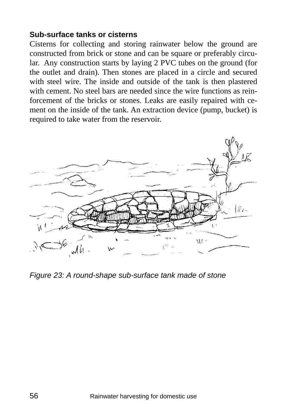#### **Sub-surface tanks or cisterns**

Cisterns for collecting and storing rainwater below the ground are constructed from brick or stone and can be square or preferably circular. Any construction starts by laying 2 PVC tubes on the ground (for the outlet and drain). Then stones are placed in a circle and secured with steel wire. The inside and outside of the tank is then plastered with cement. No steel bars are needed since the wire functions as reinforcement of the bricks or stones. Leaks are easily repaired with cement on the inside of the tank. An extraction device (pump, bucket) is required to take water from the reservoir.



*Figure 23: A round-shape sub-surface tank made of stone*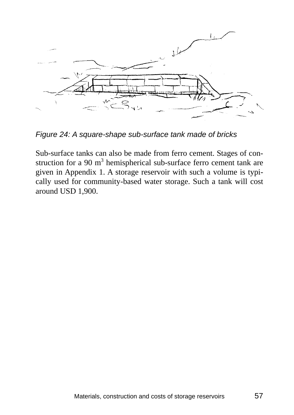

*Figure 24: A square-shape sub-surface tank made of bricks* 

Sub-surface tanks can also be made from ferro cement. Stages of construction for a 90  $m<sup>3</sup>$  hemispherical sub-surface ferro cement tank are given in Appendix 1. A storage reservoir with such a volume is typically used for community-based water storage. Such a tank will cost around USD 1,900.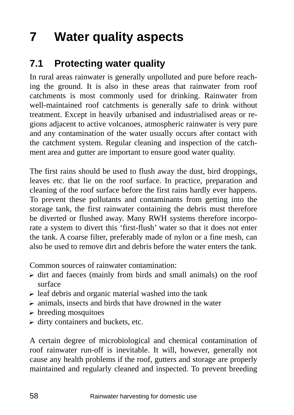# **7 Water quality aspects**

### **7.1 Protecting water quality**

In rural areas rainwater is generally unpolluted and pure before reaching the ground. It is also in these areas that rainwater from roof catchments is most commonly used for drinking. Rainwater from well-maintained roof catchments is generally safe to drink without treatment. Except in heavily urbanised and industrialised areas or regions adjacent to active volcanoes, atmospheric rainwater is very pure and any contamination of the water usually occurs after contact with the catchment system. Regular cleaning and inspection of the catchment area and gutter are important to ensure good water quality.

The first rains should be used to flush away the dust, bird droppings, leaves etc. that lie on the roof surface. In practice, preparation and cleaning of the roof surface before the first rains hardly ever happens. To prevent these pollutants and contaminants from getting into the storage tank, the first rainwater containing the debris must therefore be diverted or flushed away. Many RWH systems therefore incorporate a system to divert this 'first-flush' water so that it does not enter the tank. A coarse filter, preferably made of nylon or a fine mesh, can also be used to remove dirt and debris before the water enters the tank.

Common sources of rainwater contamination:

- $\triangleright$  dirt and faeces (mainly from birds and small animals) on the roof surface
- $\triangleright$  leaf debris and organic material washed into the tank
- $\triangleright$  animals, insects and birds that have drowned in the water
- $\triangleright$  breeding mosquitoes
- $\triangleright$  dirty containers and buckets, etc.

A certain degree of microbiological and chemical contamination of roof rainwater run-off is inevitable. It will, however, generally not cause any health problems if the roof, gutters and storage are properly maintained and regularly cleaned and inspected. To prevent breeding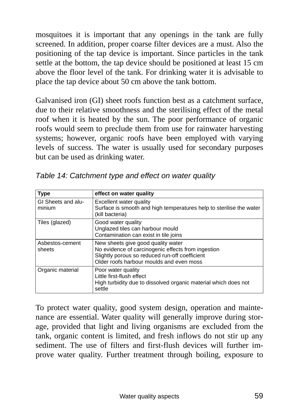mosquitoes it is important that any openings in the tank are fully screened. In addition, proper coarse filter devices are a must. Also the positioning of the tap device is important. Since particles in the tank settle at the bottom, the tap device should be positioned at least 15 cm above the floor level of the tank. For drinking water it is advisable to place the tap device about 50 cm above the tank bottom.

Galvanised iron (GI) sheet roofs function best as a catchment surface, due to their relative smoothness and the sterilising effect of the metal roof when it is heated by the sun. The poor performance of organic roofs would seem to preclude them from use for rainwater harvesting systems; however, organic roofs have been employed with varying levels of success. The water is usually used for secondary purposes but can be used as drinking water.

| Type                         | effect on water quality                                                                                                                                                                |
|------------------------------|----------------------------------------------------------------------------------------------------------------------------------------------------------------------------------------|
| GI Sheets and alu-<br>minium | Excellent water quality<br>Surface is smooth and high temperatures help to sterilise the water<br>(kill bacteria)                                                                      |
| Tiles (glazed)               | Good water quality<br>Unglazed tiles can harbour mould<br>Contamination can exist in tile joins                                                                                        |
| Asbestos-cement<br>sheets    | New sheets give good quality water<br>No evidence of carcinogenic effects from ingestion<br>Slightly porous so reduced run-off coefficient<br>Older roofs harbour moulds and even moss |
| Organic material             | Poor water quality<br>Little first-flush effect<br>High turbidity due to dissolved organic material which does not<br>settle                                                           |

*Table 14: Catchment type and effect on water quality* 

To protect water quality, good system design, operation and maintenance are essential. Water quality will generally improve during storage, provided that light and living organisms are excluded from the tank, organic content is limited, and fresh inflows do not stir up any sediment. The use of filters and first-flush devices will further improve water quality. Further treatment through boiling, exposure to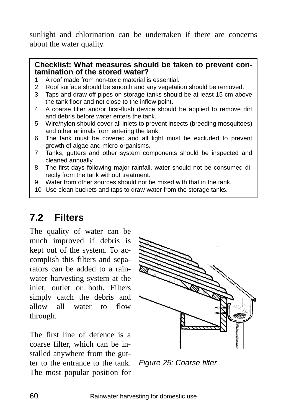sunlight and chlorination can be undertaken if there are concerns about the water quality.

#### **Checklist: What measures should be taken to prevent contamination of the stored water?**

- 1 A roof made from non-toxic material is essential.
- 2 Roof surface should be smooth and any vegetation should be removed.
- 3 Taps and draw-off pipes on storage tanks should be at least 15 cm above the tank floor and not close to the inflow point.
- 4 A coarse filter and/or first-flush device should be applied to remove dirt and debris before water enters the tank.
- 5 Wire/nylon should cover all inlets to prevent insects (breeding mosquitoes) and other animals from entering the tank.
- 6 The tank must be covered and all light must be excluded to prevent growth of algae and micro-organisms.
- 7 Tanks, gutters and other system components should be inspected and cleaned annually.
- 8 The first days following major rainfall, water should not be consumed directly from the tank without treatment.
- 9 Water from other sources should not be mixed with that in the tank.
- 10 Use clean buckets and taps to draw water from the storage tanks.

### **7.2 Filters**

The quality of water can be much improved if debris is kept out of the system. To accomplish this filters and separators can be added to a rainwater harvesting system at the inlet, outlet or both. Filters simply catch the debris and allow all water to flow through.

The first line of defence is a coarse filter, which can be installed anywhere from the gutter to the entrance to the tank. The most popular position for



*Figure 25: Coarse filter*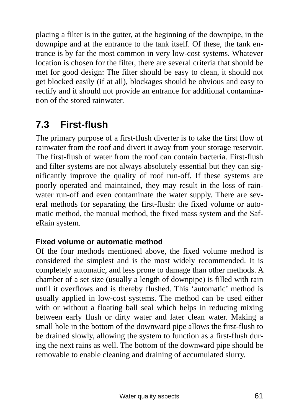placing a filter is in the gutter, at the beginning of the downpipe, in the downpipe and at the entrance to the tank itself. Of these, the tank entrance is by far the most common in very low-cost systems. Whatever location is chosen for the filter, there are several criteria that should be met for good design: The filter should be easy to clean, it should not get blocked easily (if at all), blockages should be obvious and easy to rectify and it should not provide an entrance for additional contamination of the stored rainwater.

### **7.3 First-flush**

The primary purpose of a first-flush diverter is to take the first flow of rainwater from the roof and divert it away from your storage reservoir. The first-flush of water from the roof can contain bacteria. First-flush and filter systems are not always absolutely essential but they can significantly improve the quality of roof run-off. If these systems are poorly operated and maintained, they may result in the loss of rainwater run-off and even contaminate the water supply. There are several methods for separating the first-flush: the fixed volume or automatic method, the manual method, the fixed mass system and the SafeRain system.

#### **Fixed volume or automatic method**

Of the four methods mentioned above, the fixed volume method is considered the simplest and is the most widely recommended. It is completely automatic, and less prone to damage than other methods. A chamber of a set size (usually a length of downpipe) is filled with rain until it overflows and is thereby flushed. This 'automatic' method is usually applied in low-cost systems. The method can be used either with or without a floating ball seal which helps in reducing mixing between early flush or dirty water and later clean water. Making a small hole in the bottom of the downward pipe allows the first-flush to be drained slowly, allowing the system to function as a first-flush during the next rains as well. The bottom of the downward pipe should be removable to enable cleaning and draining of accumulated slurry.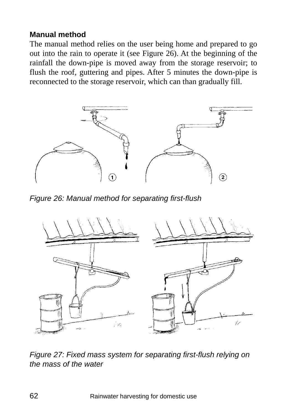#### **Manual method**

The manual method relies on the user being home and prepared to go out into the rain to operate it (see Figure 26). At the beginning of the rainfall the down-pipe is moved away from the storage reservoir; to flush the roof, guttering and pipes. After 5 minutes the down-pipe is reconnected to the storage reservoir, which can than gradually fill.



*Figure 26: Manual method for separating first-flush* 



*Figure 27: Fixed mass system for separating first-flush relying on the mass of the water*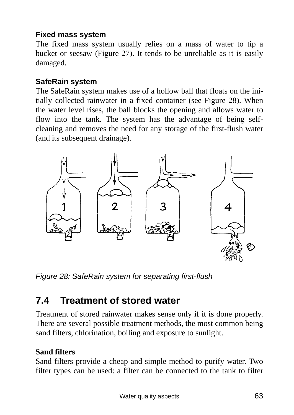### **Fixed mass system**

The fixed mass system usually relies on a mass of water to tip a bucket or seesaw (Figure 27). It tends to be unreliable as it is easily damaged.

### **SafeRain system**

The SafeRain system makes use of a hollow ball that floats on the initially collected rainwater in a fixed container (see Figure 28). When the water level rises, the ball blocks the opening and allows water to flow into the tank. The system has the advantage of being selfcleaning and removes the need for any storage of the first-flush water (and its subsequent drainage).



*Figure 28: SafeRain system for separating first-flush* 

### **7.4 Treatment of stored water**

Treatment of stored rainwater makes sense only if it is done properly. There are several possible treatment methods, the most common being sand filters, chlorination, boiling and exposure to sunlight.

### **Sand filters**

Sand filters provide a cheap and simple method to purify water. Two filter types can be used: a filter can be connected to the tank to filter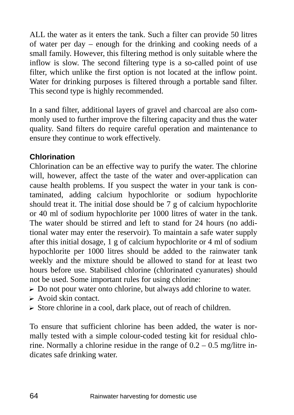ALL the water as it enters the tank. Such a filter can provide 50 litres of water per day – enough for the drinking and cooking needs of a small family. However, this filtering method is only suitable where the inflow is slow. The second filtering type is a so-called point of use filter, which unlike the first option is not located at the inflow point. Water for drinking purposes is filtered through a portable sand filter. This second type is highly recommended.

In a sand filter, additional layers of gravel and charcoal are also commonly used to further improve the filtering capacity and thus the water quality. Sand filters do require careful operation and maintenance to ensure they continue to work effectively.

### **Chlorination**

Chlorination can be an effective way to purify the water. The chlorine will, however, affect the taste of the water and over-application can cause health problems. If you suspect the water in your tank is contaminated, adding calcium hypochlorite or sodium hypochlorite should treat it. The initial dose should be 7 g of calcium hypochlorite or 40 ml of sodium hypochlorite per 1000 litres of water in the tank. The water should be stirred and left to stand for 24 hours (no additional water may enter the reservoir). To maintain a safe water supply after this initial dosage, 1 g of calcium hypochlorite or 4 ml of sodium hypochlorite per 1000 litres should be added to the rainwater tank weekly and the mixture should be allowed to stand for at least two hours before use. Stabilised chlorine (chlorinated cyanurates) should not be used. Some important rules for using chlorine:

- $\triangleright$  Do not pour water onto chlorine, but always add chlorine to water.
- $\triangleright$  Avoid skin contact.
- ? Store chlorine in a cool, dark place, out of reach of children.

To ensure that sufficient chlorine has been added, the water is normally tested with a simple colour-coded testing kit for residual chlorine. Normally a chlorine residue in the range of  $0.2 - 0.5$  mg/litre indicates safe drinking water.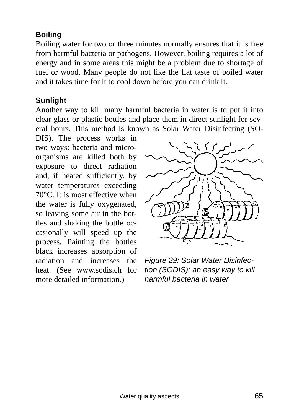### **Boiling**

Boiling water for two or three minutes normally ensures that it is free from harmful bacteria or pathogens. However, boiling requires a lot of energy and in some areas this might be a problem due to shortage of fuel or wood. Many people do not like the flat taste of boiled water and it takes time for it to cool down before you can drink it.

#### **Sunlight**

Another way to kill many harmful bacteria in water is to put it into clear glass or plastic bottles and place them in direct sunlight for several hours. This method is known as Solar Water Disinfecting (SO-

DIS). The process works in two ways: bacteria and microorganisms are killed both by exposure to direct radiation and, if heated sufficiently, by water temperatures exceeding 70°C. It is most effective when the water is fully oxygenated, so leaving some air in the bottles and shaking the bottle occasionally will speed up the process. Painting the bottles black increases absorption of radiation and increases the heat. (See www.sodis.ch for more detailed information.)



*Figure 29: Solar Water Disinfection (SODIS): an easy way to kill harmful bacteria in water*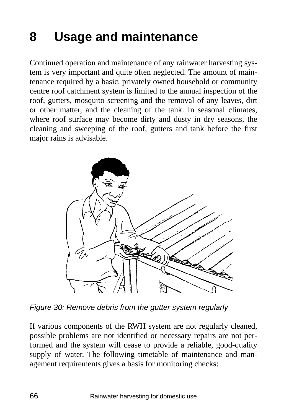# **8 Usage and maintenance**

Continued operation and maintenance of any rainwater harvesting system is very important and quite often neglected. The amount of maintenance required by a basic, privately owned household or community centre roof catchment system is limited to the annual inspection of the roof, gutters, mosquito screening and the removal of any leaves, dirt or other matter, and the cleaning of the tank. In seasonal climates, where roof surface may become dirty and dusty in dry seasons, the cleaning and sweeping of the roof, gutters and tank before the first major rains is advisable.



*Figure 30: Remove debris from the gutter system regularly* 

If various components of the RWH system are not regularly cleaned, possible problems are not identified or necessary repairs are not performed and the system will cease to provide a reliable, good-quality supply of water. The following timetable of maintenance and management requirements gives a basis for monitoring checks: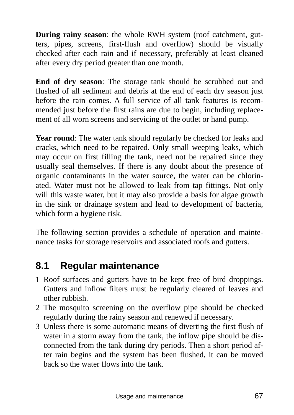**During rainy season:** the whole RWH system (roof catchment, gutters, pipes, screens, first-flush and overflow) should be visually checked after each rain and if necessary, preferably at least cleaned after every dry period greater than one month.

**End of dry season**: The storage tank should be scrubbed out and flushed of all sediment and debris at the end of each dry season just before the rain comes. A full service of all tank features is recommended just before the first rains are due to begin, including replacement of all worn screens and servicing of the outlet or hand pump.

**Year round**: The water tank should regularly be checked for leaks and cracks, which need to be repaired. Only small weeping leaks, which may occur on first filling the tank, need not be repaired since they usually seal themselves. If there is any doubt about the presence of organic contaminants in the water source, the water can be chlorinated. Water must not be allowed to leak from tap fittings. Not only will this waste water, but it may also provide a basis for algae growth in the sink or drainage system and lead to development of bacteria, which form a hygiene risk.

The following section provides a schedule of operation and maintenance tasks for storage reservoirs and associated roofs and gutters.

### **8.1 Regular maintenance**

- 1 Roof surfaces and gutters have to be kept free of bird droppings. Gutters and inflow filters must be regularly cleared of leaves and other rubbish.
- 2 The mosquito screening on the overflow pipe should be checked regularly during the rainy season and renewed if necessary.
- 3 Unless there is some automatic means of diverting the first flush of water in a storm away from the tank, the inflow pipe should be disconnected from the tank during dry periods. Then a short period after rain begins and the system has been flushed, it can be moved back so the water flows into the tank.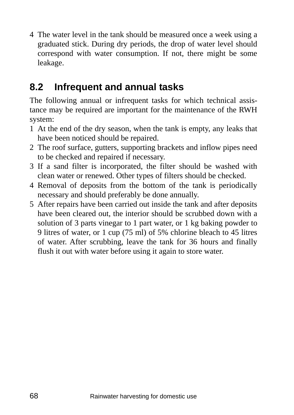4 The water level in the tank should be measured once a week using a graduated stick. During dry periods, the drop of water level should correspond with water consumption. If not, there might be some leakage.

### **8.2 Infrequent and annual tasks**

The following annual or infrequent tasks for which technical assistance may be required are important for the maintenance of the RWH system:

- 1 At the end of the dry season, when the tank is empty, any leaks that have been noticed should be repaired.
- 2 The roof surface, gutters, supporting brackets and inflow pipes need to be checked and repaired if necessary.
- 3 If a sand filter is incorporated, the filter should be washed with clean water or renewed. Other types of filters should be checked.
- 4 Removal of deposits from the bottom of the tank is periodically necessary and should preferably be done annually.
- 5 After repairs have been carried out inside the tank and after deposits have been cleared out, the interior should be scrubbed down with a solution of 3 parts vinegar to 1 part water, or 1 kg baking powder to 9 litres of water, or 1 cup (75 ml) of 5% chlorine bleach to 45 litres of water. After scrubbing, leave the tank for 36 hours and finally flush it out with water before using it again to store water.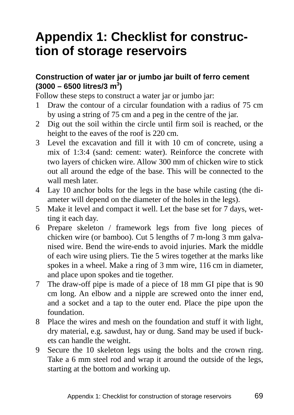## **Appendix 1: Checklist for construction of storage reservoirs**

### **Construction of water jar or jumbo jar built of ferro cement (3000 – 6500 litres/3 m<sup>3</sup> )**

Follow these steps to construct a water jar or jumbo jar:

- 1 Draw the contour of a circular foundation with a radius of 75 cm by using a string of 75 cm and a peg in the centre of the jar.
- 2 Dig out the soil within the circle until firm soil is reached, or the height to the eaves of the roof is 220 cm.
- 3 Level the excavation and fill it with 10 cm of concrete, using a mix of 1:3:4 (sand: cement: water). Reinforce the concrete with two layers of chicken wire. Allow 300 mm of chicken wire to stick out all around the edge of the base. This will be connected to the wall mesh later.
- 4 Lay 10 anchor bolts for the legs in the base while casting (the diameter will depend on the diameter of the holes in the legs).
- 5 Make it level and compact it well. Let the base set for 7 days, wetting it each day.
- 6 Prepare skeleton / framework legs from five long pieces of chicken wire (or bamboo). Cut 5 lengths of 7 m-long 3 mm galvanised wire. Bend the wire-ends to avoid injuries. Mark the middle of each wire using pliers. Tie the 5 wires together at the marks like spokes in a wheel. Make a ring of 3 mm wire, 116 cm in diameter, and place upon spokes and tie together.
- 7 The draw-off pipe is made of a piece of 18 mm GI pipe that is 90 cm long. An elbow and a nipple are screwed onto the inner end, and a socket and a tap to the outer end. Place the pipe upon the foundation.
- 8 Place the wires and mesh on the foundation and stuff it with light, dry material, e.g. sawdust, hay or dung. Sand may be used if buckets can handle the weight.
- 9 Secure the 10 skeleton legs using the bolts and the crown ring. Take a 6 mm steel rod and wrap it around the outside of the legs, starting at the bottom and working up.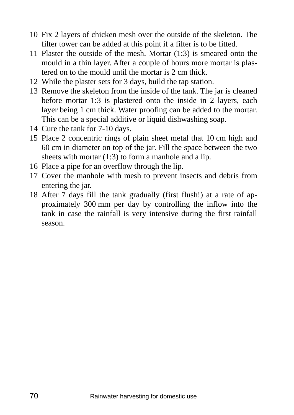- 10 Fix 2 layers of chicken mesh over the outside of the skeleton. The filter tower can be added at this point if a filter is to be fitted.
- 11 Plaster the outside of the mesh. Mortar (1:3) is smeared onto the mould in a thin layer. After a couple of hours more mortar is plastered on to the mould until the mortar is 2 cm thick.
- 12 While the plaster sets for 3 days, build the tap station.
- 13 Remove the skeleton from the inside of the tank. The jar is cleaned before mortar 1:3 is plastered onto the inside in 2 layers, each layer being 1 cm thick. Water proofing can be added to the mortar. This can be a special additive or liquid dishwashing soap.
- 14 Cure the tank for 7-10 days.
- 15 Place 2 concentric rings of plain sheet metal that 10 cm high and 60 cm in diameter on top of the jar. Fill the space between the two sheets with mortar (1:3) to form a manhole and a lip.
- 16 Place a pipe for an overflow through the lip.
- 17 Cover the manhole with mesh to prevent insects and debris from entering the jar.
- 18 After 7 days fill the tank gradually (first flush!) at a rate of approximately 300 mm per day by controlling the inflow into the tank in case the rainfall is very intensive during the first rainfall season.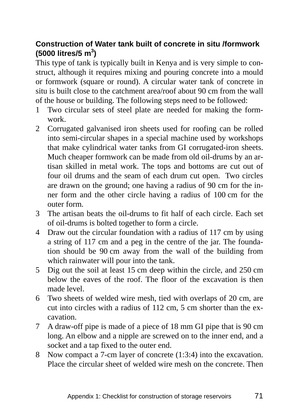### **Construction of Water tank built of concrete in situ /formwork (5000 litres/5 m<sup>3</sup> )**

This type of tank is typically built in Kenya and is very simple to construct, although it requires mixing and pouring concrete into a mould or formwork (square or round). A circular water tank of concrete in situ is built close to the catchment area/roof about 90 cm from the wall of the house or building. The following steps need to be followed:

- 1 Two circular sets of steel plate are needed for making the formwork.
- 2 Corrugated galvanised iron sheets used for roofing can be rolled into semi-circular shapes in a special machine used by workshops that make cylindrical water tanks from GI corrugated-iron sheets. Much cheaper formwork can be made from old oil-drums by an artisan skilled in metal work. The tops and bottoms are cut out of four oil drums and the seam of each drum cut open. Two circles are drawn on the ground; one having a radius of 90 cm for the inner form and the other circle having a radius of 100 cm for the outer form.
- 3 The artisan beats the oil-drums to fit half of each circle. Each set of oil-drums is bolted together to form a circle.
- 4 Draw out the circular foundation with a radius of 117 cm by using a string of 117 cm and a peg in the centre of the jar. The foundation should be 90 cm away from the wall of the building from which rainwater will pour into the tank.
- 5 Dig out the soil at least 15 cm deep within the circle, and 250 cm below the eaves of the roof. The floor of the excavation is then made level.
- 6 Two sheets of welded wire mesh, tied with overlaps of 20 cm, are cut into circles with a radius of 112 cm, 5 cm shorter than the excavation.
- 7 A draw-off pipe is made of a piece of 18 mm GI pipe that is 90 cm long. An elbow and a nipple are screwed on to the inner end, and a socket and a tap fixed to the outer end.
- 8 Now compact a 7-cm layer of concrete (1:3:4) into the excavation. Place the circular sheet of welded wire mesh on the concrete. Then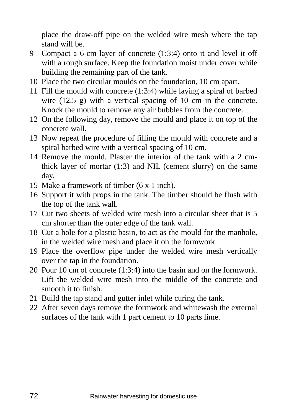place the draw-off pipe on the welded wire mesh where the tap stand will be.

- 9 Compact a 6-cm layer of concrete (1:3:4) onto it and level it off with a rough surface. Keep the foundation moist under cover while building the remaining part of the tank.
- 10 Place the two circular moulds on the foundation, 10 cm apart.
- 11 Fill the mould with concrete (1:3:4) while laying a spiral of barbed wire (12.5 g) with a vertical spacing of 10 cm in the concrete. Knock the mould to remove any air bubbles from the concrete.
- 12 On the following day, remove the mould and place it on top of the concrete wall.
- 13 Now repeat the procedure of filling the mould with concrete and a spiral barbed wire with a vertical spacing of 10 cm.
- 14 Remove the mould. Plaster the interior of the tank with a 2 cmthick layer of mortar (1:3) and NIL (cement slurry) on the same day.
- 15 Make a framework of timber (6 x 1 inch).
- 16 Support it with props in the tank. The timber should be flush with the top of the tank wall.
- 17 Cut two sheets of welded wire mesh into a circular sheet that is 5 cm shorter than the outer edge of the tank wall.
- 18 Cut a hole for a plastic basin, to act as the mould for the manhole, in the welded wire mesh and place it on the formwork.
- 19 Place the overflow pipe under the welded wire mesh vertically over the tap in the foundation.
- 20 Pour 10 cm of concrete (1:3:4) into the basin and on the formwork. Lift the welded wire mesh into the middle of the concrete and smooth it to finish.
- 21 Build the tap stand and gutter inlet while curing the tank.
- 22 After seven days remove the formwork and whitewash the external surfaces of the tank with 1 part cement to 10 parts lime.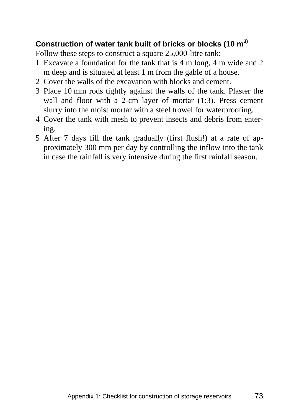## **Construction of water tank built of bricks or blocks (10 m3)**

Follow these steps to construct a square 25,000-litre tank:

- 1 Excavate a foundation for the tank that is 4 m long, 4 m wide and 2 m deep and is situated at least 1 m from the gable of a house.
- 2 Cover the walls of the excavation with blocks and cement.
- 3 Place 10 mm rods tightly against the walls of the tank. Plaster the wall and floor with a 2-cm layer of mortar (1:3). Press cement slurry into the moist mortar with a steel trowel for waterproofing.
- 4 Cover the tank with mesh to prevent insects and debris from entering.
- 5 After 7 days fill the tank gradually (first flush!) at a rate of approximately 300 mm per day by controlling the inflow into the tank in case the rainfall is very intensive during the first rainfall season.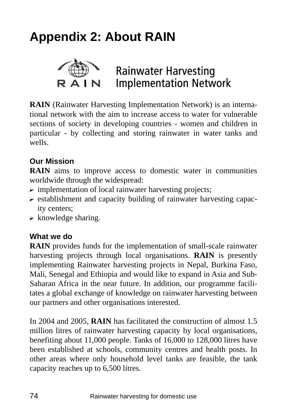# **Appendix 2: About RAIN**



**RAIN** (Rainwater Harvesting Implementation Network) is an international network with the aim to increase access to water for vulnerable sections of society in developing countries - women and children in particular - by collecting and storing rainwater in water tanks and wells.

## **Our Mission**

**RAIN** aims to improve access to domestic water in communities worldwide through the widespread:

- $\triangleright$  implementation of local rainwater harvesting projects;
- $\triangleright$  establishment and capacity building of rainwater harvesting capacity centers;
- $\triangleright$  knowledge sharing.

## **What we do**

**RAIN** provides funds for the implementation of small-scale rainwater harvesting projects through local organisations. **RAIN** is presently implementing Rainwater harvesting projects in Nepal, Burkina Faso, Mali, Senegal and Ethiopia and would like to expand in Asia and Sub-Saharan Africa in the near future. In addition, our programme facilitates a global exchange of knowledge on rainwater harvesting between our partners and other organisations interested.

In 2004 and 2005, **RAIN** has facilitated the construction of almost 1.5 million litres of rainwater harvesting capacity by local organisations, benefiting about 11,000 people. Tanks of 16,000 to 128,000 litres have been established at schools, community centres and health posts. In other areas where only household level tanks are feasible, the tank capacity reaches up to 6,500 litres.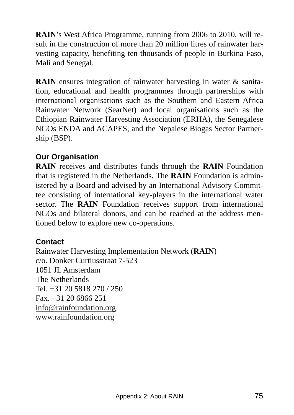**RAIN**'s West Africa Programme, running from 2006 to 2010, will result in the construction of more than 20 million litres of rainwater harvesting capacity, benefiting ten thousands of people in Burkina Faso, Mali and Senegal.

**RAIN** ensures integration of rainwater harvesting in water & sanitation, educational and health programmes through partnerships with international organisations such as the Southern and Eastern Africa Rainwater Network (SearNet) and local organisations such as the Ethiopian Rainwater Harvesting Association (ERHA), the Senegalese NGOs ENDA and ACAPES, and the Nepalese Biogas Sector Partnership (BSP).

## **Our Organisation**

**RAIN** receives and distributes funds through the **RAIN** Foundation that is registered in the Netherlands. The **RAIN** Foundation is administered by a Board and advised by an International Advisory Committee consisting of international key-players in the international water sector. The **RAIN** Foundation receives support from international NGOs and bilateral donors, and can be reached at the address mentioned below to explore new co-operations.

## **Contact**

Rainwater Harvesting Implementation Network (**RAIN**) c/o. Donker Curtiusstraat 7-523 1051 JL Amsterdam The Netherlands Tel. +31 20 5818 270 / 250 Fax. +31 20 6866 251 info@rainfoundation.org www.rainfoundation.org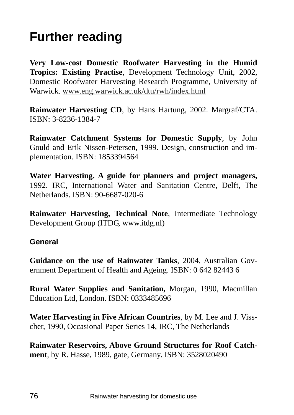# **Further reading**

**Very Low-cost Domestic Roofwater Harvesting in the Humid Tropics: Existing Practise**, Development Technology Unit, 2002, Domestic Roofwater Harvesting Research Programme, University of Warwick. www.eng.warwick.ac.uk/dtu/rwh/index.html

**Rainwater Harvesting CD**, by Hans Hartung, 2002. Margraf/CTA. ISBN: 3-8236-1384-7

**Rainwater Catchment Systems for Domestic Supply**, by John Gould and Erik Nissen-Petersen, 1999. Design, construction and implementation. ISBN: 1853394564

**Water Harvesting. A guide for planners and project managers,** 1992. IRC, International Water and Sanitation Centre, Delft, The Netherlands. ISBN: 90-6687-020-6

**Rainwater Harvesting, Technical Note**, Intermediate Technology Development Group (ITDG, www.itdg.nl)

#### **General**

**Guidance on the use of Rainwater Tanks**, 2004, Australian Government Department of Health and Ageing. ISBN: 0 642 82443 6

**Rural Water Supplies and Sanitation,** Morgan, 1990, Macmillan Education Ltd, London. ISBN: 0333485696

**Water Harvesting in Five African Countries**, by M. Lee and J. Visscher, 1990, Occasional Paper Series 14, IRC, The Netherlands

**Rainwater Reservoirs, Above Ground Structures for Roof Catchment**, by R. Hasse, 1989, gate, Germany. ISBN: 3528020490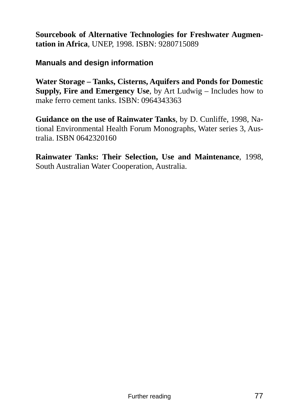**Sourcebook of Alternative Technologies for Freshwater Augmentation in Africa**, UNEP, 1998. ISBN: 9280715089

#### **Manuals and design information**

**Water Storage – Tanks, Cisterns, Aquifers and Ponds for Domestic Supply, Fire and Emergency Use**, by Art Ludwig – Includes how to make ferro cement tanks. ISBN: 0964343363

**Guidance on the use of Rainwater Tanks**, by D. Cunliffe, 1998, National Environmental Health Forum Monographs, Water series 3, Australia. ISBN 0642320160

**Rainwater Tanks: Their Selection, Use and Maintenance**, 1998, South Australian Water Cooperation, Australia.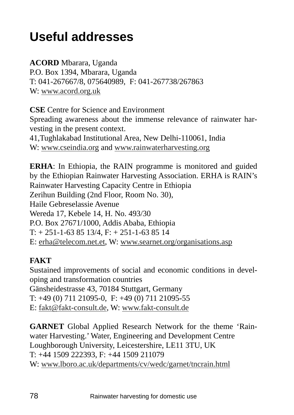## **Useful addresses**

**ACORD** Mbarara, Uganda P.O. Box 1394, Mbarara, Uganda T: 041-267667/8, 075640989, F: 041-267738/267863 W: www.acord.org.uk

**CSE** Centre for Science and Environment Spreading awareness about the immense relevance of rainwater harvesting in the present context. 41,Tughlakabad Institutional Area, New Delhi-110061, India

W: www.cseindia.org and www.rainwaterharvesting.org

**ERHA**: In Ethiopia, the RAIN programme is monitored and guided by the Ethiopian Rainwater Harvesting Association. ERHA is RAIN's Rainwater Harvesting Capacity Centre in Ethiopia Zerihun Building (2nd Floor, Room No. 30), Haile Gebreselassie Avenue Wereda 17, Kebele 14, H. No. 493/30 P.O. Box 27671/1000, Addis Ababa, Ethiopia  $T: + 251 - 1 - 638513/4, F: + 251 - 1 - 638514$ E: erha@telecom.net.et, W: www.searnet.org/organisations.asp

## **FAKT**

Sustained improvements of social and economic conditions in developing and transformation countries Gänsheidestrasse 43, 70184 Stuttgart, Germany T: +49 (0) 711 21095-0, F: +49 (0) 711 21095-55 E: fakt@fakt-consult.de, W: www.fakt-consult.de

**GARNET** Global Applied Research Network for the theme 'Rainwater Harvesting.' Water, Engineering and Development Centre Loughborough University, Leicestershire, LE11 3TU, UK T: +44 1509 222393, F: +44 1509 211079 W: www.lboro.ac.uk/departments/cv/wedc/garnet/tncrain.html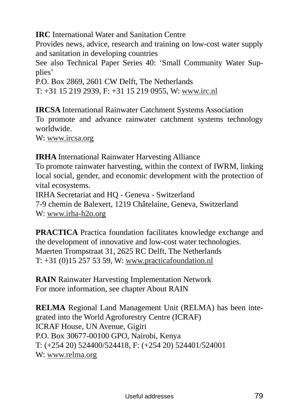**IRC** International Water and Sanitation Centre

Provides news, advice, research and training on low-cost water supply and sanitation in developing countries

See also Technical Paper Series 40: 'Small Community Water Supplies'

P.O. Box 2869, 2601 CW Delft, The Netherlands T: +31 15 219 2939, F: +31 15 219 0955, W: www.irc.nl

**IRCSA** International Rainwater Catchment Systems Association To promote and advance rainwater catchment systems technology worldwide.

W: www.ircsa.org

**IRHA** International Rainwater Harvesting Alliance To promote rainwater harvesting, within the context of IWRM, linking local social, gender, and economic development with the protection of vital ecosystems. IRHA Secretariat and HQ - Geneva - Switzerland 7-9 chemin de Balexert, 1219 Châtelaine, Geneva, Switzerland

W: www.irha-h2o.org

**PRACTICA** Practica foundation facilitates knowledge exchange and the development of innovative and low-cost water technologies. Maerten Trompstraat 31, 2625 RC Delft, The Netherlands T: +31 (0)15 257 53 59, W: www.practicafoundation.nl

**RAIN** Rainwater Harvesting Implementation Network For more information, see chapter About RAIN

**RELMA** Regional Land Management Unit (RELMA) has been integrated into the World Agroforestry Centre (ICRAF) ICRAF House, UN Avenue, Gigiri P.O. Box 30677-00100 GPO, Nairobi, Kenya T: (+254 20) 524400/524418, F: (+254 20) 524401/524001 W: www.relma.org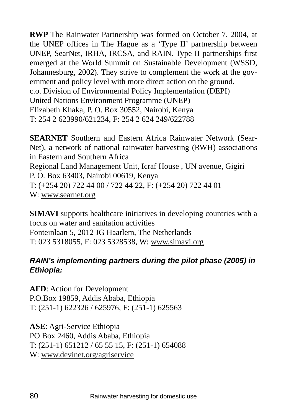**RWP** The Rainwater Partnership was formed on October 7, 2004, at the UNEP offices in The Hague as a 'Type II' partnership between UNEP, SearNet, IRHA, IRCSA, and RAIN. Type II partnerships first emerged at the World Summit on Sustainable Development (WSSD, Johannesburg, 2002). They strive to complement the work at the government and policy level with more direct action on the ground. c.o. Division of Environmental Policy Implementation (DEPI) United Nations Environment Programme (UNEP) Elizabeth Khaka, P. O. Box 30552, Nairobi, Kenya T: 254 2 623990/621234, F: 254 2 624 249/622788

**SEARNET** Southern and Eastern Africa Rainwater Network (Sear-Net), a network of national rainwater harvesting (RWH) associations in Eastern and Southern Africa Regional Land Management Unit, Icraf House , UN avenue, Gigiri P. O. Box 63403, Nairobi 00619, Kenya T: (+254 20) 722 44 00 / 722 44 22, F: (+254 20) 722 44 01 W: www.searnet.org

**SIMAVI** supports healthcare initiatives in developing countries with a focus on water and sanitation activities Fonteinlaan 5, 2012 JG Haarlem, The Netherlands T: 023 5318055, F: 023 5328538, W: www.simavi.org

## *RAIN's implementing partners during the pilot phase (2005) in Ethiopia:*

**AFD**: Action for Development P.O.Box 19859, Addis Ababa, Ethiopia T: (251-1) 622326 / 625976, F: (251-1) 625563

**ASE**: Agri-Service Ethiopia PO Box 2460, Addis Ababa, Ethiopia T: (251-1) 651212 / 65 55 15, F: (251-1) 654088 W: www.devinet.org/agriservice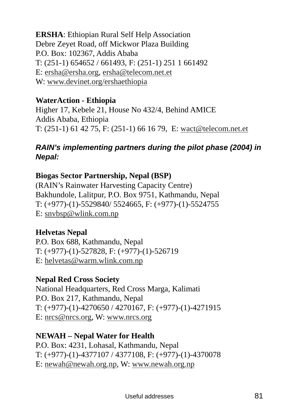**ERSHA**: Ethiopian Rural Self Help Association Debre Zeyet Road, off Mickwor Plaza Building P.O. Box: 102367, Addis Ababa T: (251-1) 654652 / 661493, F: (251-1) 251 1 661492 E: ersha@ersha.org, ersha@telecom.net.et W: www.devinet.org/ershaethiopia

## **WaterAction - Ethiopia**

Higher 17, Kebele 21, House No 432/4, Behind AMICE Addis Ababa, Ethiopia T: (251-1) 61 42 75, F: (251-1) 66 16 79, E: wact@telecom.net.et

## *RAIN's implementing partners during the pilot phase (2004) in Nepal:*

## **Biogas Sector Partnership, Nepal (BSP)**

(RAIN's Rainwater Harvesting Capacity Centre) Bakhundole, Lalitpur, P.O. Box 9751, Kathmandu, Nepal T: (+977)-(1)-5529840/ 5524665, F: (+977)-(1)-5524755 E: snvbsp@wlink.com.np

## **Helvetas Nepal**

P.O. Box 688, Kathmandu, Nepal T: (+977)-(1)-527828, F: (+977)-(1)-526719 E: helvetas@warm.wlink.com.np

#### **Nepal Red Cross Society**

National Headquarters, Red Cross Marga, Kalimati P.O. Box 217, Kathmandu, Nepal T: (+977)-(1)-4270650 / 4270167, F: (+977)-(1)-4271915 E: nrcs@nrcs.org, W: www.nrcs.org

## **NEWAH – Nepal Water for Health**

P.O. Box: 4231, Lohasal, Kathmandu, Nepal T: (+977)-(1)-4377107 / 4377108, F: (+977)-(1)-4370078 E: newah@newah.org.np, W: www.newah.org.np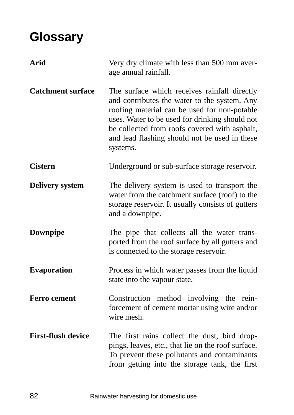# **Glossary**

| <b>Arid</b>               | Very dry climate with less than 500 mm aver-<br>age annual rainfall.                                                                                                                                                                                                                                         |
|---------------------------|--------------------------------------------------------------------------------------------------------------------------------------------------------------------------------------------------------------------------------------------------------------------------------------------------------------|
| <b>Catchment surface</b>  | The surface which receives rainfall directly<br>and contributes the water to the system. Any<br>roofing material can be used for non-potable<br>uses. Water to be used for drinking should not<br>be collected from roofs covered with asphalt,<br>and lead flashing should not be used in these<br>systems. |
| <b>Cistern</b>            | Underground or sub-surface storage reservoir.                                                                                                                                                                                                                                                                |
| <b>Delivery system</b>    | The delivery system is used to transport the<br>water from the catchment surface (roof) to the<br>storage reservoir. It usually consists of gutters<br>and a downpipe.                                                                                                                                       |
| Downpipe                  | The pipe that collects all the water trans-<br>ported from the roof surface by all gutters and<br>is connected to the storage reservoir.                                                                                                                                                                     |
| <b>Evaporation</b>        | Process in which water passes from the liquid<br>state into the vapour state.                                                                                                                                                                                                                                |
| <b>Ferro cement</b>       | Construction method involving the rein-<br>forcement of cement mortar using wire and/or<br>wire mesh.                                                                                                                                                                                                        |
| <b>First-flush device</b> | The first rains collect the dust, bird drop-<br>pings, leaves, etc., that lie on the roof surface.<br>To prevent these pollutants and contaminants<br>from getting into the storage tank, the first                                                                                                          |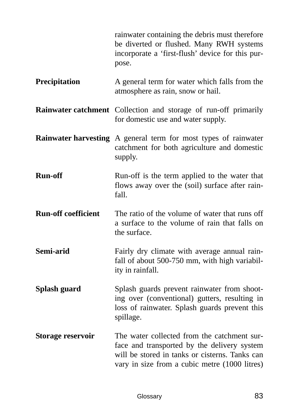|                            | rainwater containing the debris must therefore<br>be diverted or flushed. Many RWH systems<br>incorporate a 'first-flush' device for this pur-<br>pose.                                       |
|----------------------------|-----------------------------------------------------------------------------------------------------------------------------------------------------------------------------------------------|
| Precipitation              | A general term for water which falls from the<br>atmosphere as rain, snow or hail.                                                                                                            |
|                            | Rainwater catchment Collection and storage of run-off primarily<br>for domestic use and water supply.                                                                                         |
|                            | <b>Rainwater harvesting</b> A general term for most types of rainwater<br>catchment for both agriculture and domestic<br>supply.                                                              |
| <b>Run-off</b>             | Run-off is the term applied to the water that<br>flows away over the (soil) surface after rain-<br>fall.                                                                                      |
| <b>Run-off coefficient</b> | The ratio of the volume of water that runs off<br>a surface to the volume of rain that falls on<br>the surface.                                                                               |
| Semi-arid                  | Fairly dry climate with average annual rain-<br>fall of about 500-750 mm, with high variabil-<br>ity in rainfall.                                                                             |
| Splash guard               | Splash guards prevent rainwater from shoot-<br>ing over (conventional) gutters, resulting in<br>loss of rainwater. Splash guards prevent this<br>spillage.                                    |
| Storage reservoir          | The water collected from the catchment sur-<br>face and transported by the delivery system<br>will be stored in tanks or cisterns. Tanks can<br>vary in size from a cubic metre (1000 litres) |